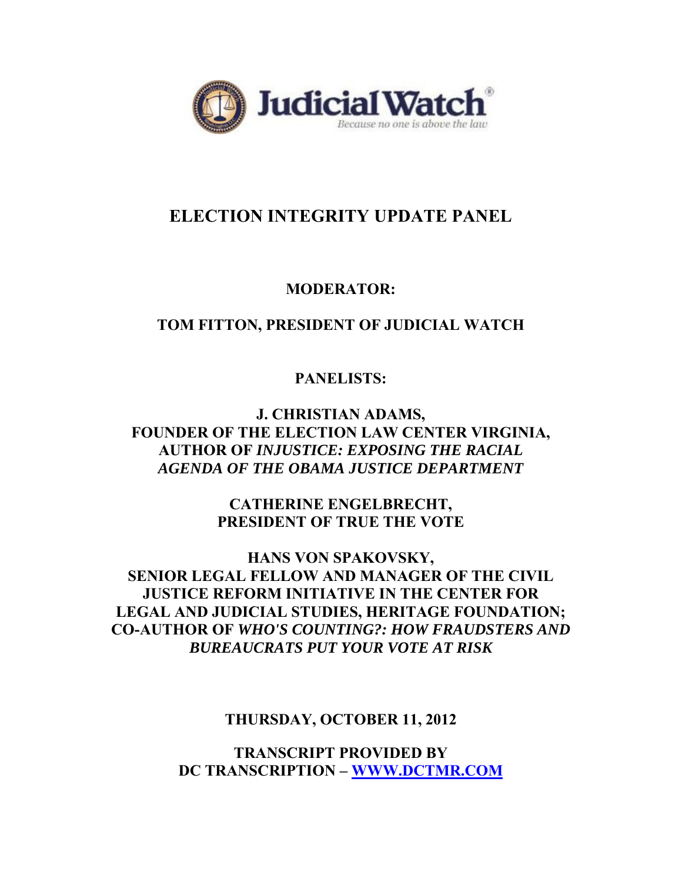

# **ELECTION INTEGRITY UPDATE PANEL**

### **MODERATOR:**

### **TOM FITTON, PRESIDENT OF JUDICIAL WATCH**

## **PANELISTS:**

**J. CHRISTIAN ADAMS, FOUNDER OF THE ELECTION LAW CENTER VIRGINIA, AUTHOR OF** *INJUSTICE: EXPOSING THE RACIAL AGENDA OF THE OBAMA JUSTICE DEPARTMENT*

> **CATHERINE ENGELBRECHT, PRESIDENT OF TRUE THE VOTE**

**HANS VON SPAKOVSKY, SENIOR LEGAL FELLOW AND MANAGER OF THE CIVIL JUSTICE REFORM INITIATIVE IN THE CENTER FOR LEGAL AND JUDICIAL STUDIES, HERITAGE FOUNDATION; CO-AUTHOR OF** *WHO'S COUNTING?: HOW FRAUDSTERS AND BUREAUCRATS PUT YOUR VOTE AT RISK*

**THURSDAY, OCTOBER 11, 2012** 

**TRANSCRIPT PROVIDED BY DC TRANSCRIPTION – WWW.DCTMR.COM**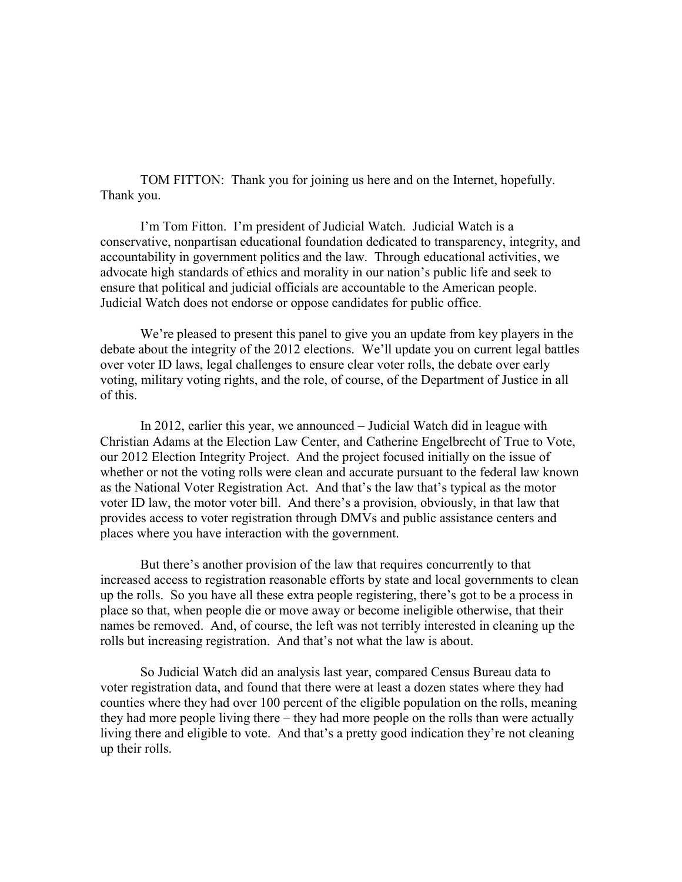TOM FITTON: Thank you for joining us here and on the Internet, hopefully. Thank you.

I'm Tom Fitton. I'm president of Judicial Watch. Judicial Watch is a conservative, nonpartisan educational foundation dedicated to transparency, integrity, and accountability in government politics and the law. Through educational activities, we advocate high standards of ethics and morality in our nation's public life and seek to ensure that political and judicial officials are accountable to the American people. Judicial Watch does not endorse or oppose candidates for public office.

We're pleased to present this panel to give you an update from key players in the debate about the integrity of the 2012 elections. We'll update you on current legal battles over voter ID laws, legal challenges to ensure clear voter rolls, the debate over early voting, military voting rights, and the role, of course, of the Department of Justice in all of this.

In 2012, earlier this year, we announced – Judicial Watch did in league with Christian Adams at the Election Law Center, and Catherine Engelbrecht of True to Vote, our 2012 Election Integrity Project. And the project focused initially on the issue of whether or not the voting rolls were clean and accurate pursuant to the federal law known as the National Voter Registration Act. And that's the law that's typical as the motor voter ID law, the motor voter bill. And there's a provision, obviously, in that law that provides access to voter registration through DMVs and public assistance centers and places where you have interaction with the government.

But there's another provision of the law that requires concurrently to that increased access to registration reasonable efforts by state and local governments to clean up the rolls. So you have all these extra people registering, there's got to be a process in place so that, when people die or move away or become ineligible otherwise, that their names be removed. And, of course, the left was not terribly interested in cleaning up the rolls but increasing registration. And that's not what the law is about.

So Judicial Watch did an analysis last year, compared Census Bureau data to voter registration data, and found that there were at least a dozen states where they had counties where they had over 100 percent of the eligible population on the rolls, meaning they had more people living there – they had more people on the rolls than were actually living there and eligible to vote. And that's a pretty good indication they're not cleaning up their rolls.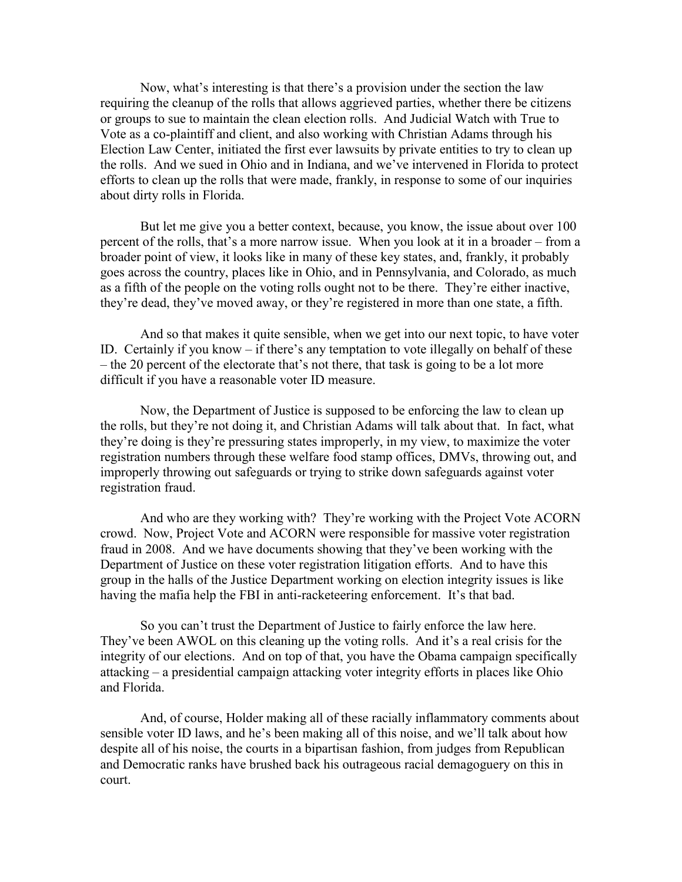Now, what's interesting is that there's a provision under the section the law requiring the cleanup of the rolls that allows aggrieved parties, whether there be citizens or groups to sue to maintain the clean election rolls. And Judicial Watch with True to Vote as a co-plaintiff and client, and also working with Christian Adams through his Election Law Center, initiated the first ever lawsuits by private entities to try to clean up the rolls. And we sued in Ohio and in Indiana, and we've intervened in Florida to protect efforts to clean up the rolls that were made, frankly, in response to some of our inquiries about dirty rolls in Florida.

But let me give you a better context, because, you know, the issue about over 100 percent of the rolls, that's a more narrow issue. When you look at it in a broader – from a broader point of view, it looks like in many of these key states, and, frankly, it probably goes across the country, places like in Ohio, and in Pennsylvania, and Colorado, as much as a fifth of the people on the voting rolls ought not to be there. They're either inactive, they're dead, they've moved away, or they're registered in more than one state, a fifth.

And so that makes it quite sensible, when we get into our next topic, to have voter ID. Certainly if you know – if there's any temptation to vote illegally on behalf of these – the 20 percent of the electorate that's not there, that task is going to be a lot more difficult if you have a reasonable voter ID measure.

Now, the Department of Justice is supposed to be enforcing the law to clean up the rolls, but they're not doing it, and Christian Adams will talk about that. In fact, what they're doing is they're pressuring states improperly, in my view, to maximize the voter registration numbers through these welfare food stamp offices, DMVs, throwing out, and improperly throwing out safeguards or trying to strike down safeguards against voter registration fraud.

And who are they working with? They're working with the Project Vote ACORN crowd. Now, Project Vote and ACORN were responsible for massive voter registration fraud in 2008. And we have documents showing that they've been working with the Department of Justice on these voter registration litigation efforts. And to have this group in the halls of the Justice Department working on election integrity issues is like having the mafia help the FBI in anti-racketeering enforcement. It's that bad.

So you can't trust the Department of Justice to fairly enforce the law here. They've been AWOL on this cleaning up the voting rolls. And it's a real crisis for the integrity of our elections. And on top of that, you have the Obama campaign specifically attacking – a presidential campaign attacking voter integrity efforts in places like Ohio and Florida.

And, of course, Holder making all of these racially inflammatory comments about sensible voter ID laws, and he's been making all of this noise, and we'll talk about how despite all of his noise, the courts in a bipartisan fashion, from judges from Republican and Democratic ranks have brushed back his outrageous racial demagoguery on this in court.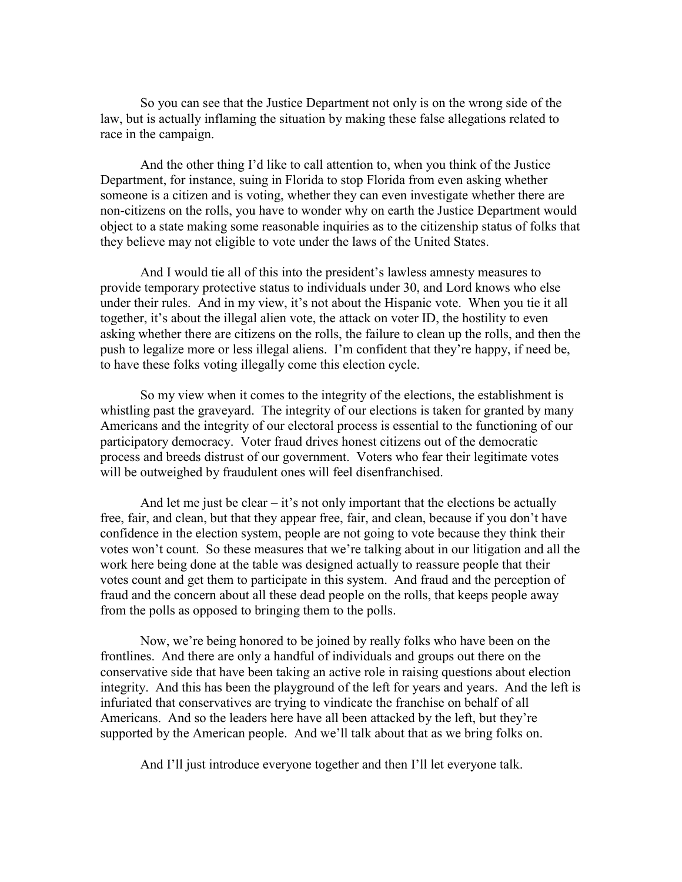So you can see that the Justice Department not only is on the wrong side of the law, but is actually inflaming the situation by making these false allegations related to race in the campaign.

And the other thing I'd like to call attention to, when you think of the Justice Department, for instance, suing in Florida to stop Florida from even asking whether someone is a citizen and is voting, whether they can even investigate whether there are non-citizens on the rolls, you have to wonder why on earth the Justice Department would object to a state making some reasonable inquiries as to the citizenship status of folks that they believe may not eligible to vote under the laws of the United States.

And I would tie all of this into the president's lawless amnesty measures to provide temporary protective status to individuals under 30, and Lord knows who else under their rules. And in my view, it's not about the Hispanic vote. When you tie it all together, it's about the illegal alien vote, the attack on voter ID, the hostility to even asking whether there are citizens on the rolls, the failure to clean up the rolls, and then the push to legalize more or less illegal aliens. I'm confident that they're happy, if need be, to have these folks voting illegally come this election cycle.

So my view when it comes to the integrity of the elections, the establishment is whistling past the graveyard. The integrity of our elections is taken for granted by many Americans and the integrity of our electoral process is essential to the functioning of our participatory democracy. Voter fraud drives honest citizens out of the democratic process and breeds distrust of our government. Voters who fear their legitimate votes will be outweighed by fraudulent ones will feel disenfranchised.

And let me just be clear  $-$  it's not only important that the elections be actually free, fair, and clean, but that they appear free, fair, and clean, because if you don't have confidence in the election system, people are not going to vote because they think their votes won't count. So these measures that we're talking about in our litigation and all the work here being done at the table was designed actually to reassure people that their votes count and get them to participate in this system. And fraud and the perception of fraud and the concern about all these dead people on the rolls, that keeps people away from the polls as opposed to bringing them to the polls.

Now, we're being honored to be joined by really folks who have been on the frontlines. And there are only a handful of individuals and groups out there on the conservative side that have been taking an active role in raising questions about election integrity. And this has been the playground of the left for years and years. And the left is infuriated that conservatives are trying to vindicate the franchise on behalf of all Americans. And so the leaders here have all been attacked by the left, but they're supported by the American people. And we'll talk about that as we bring folks on.

And I'll just introduce everyone together and then I'll let everyone talk.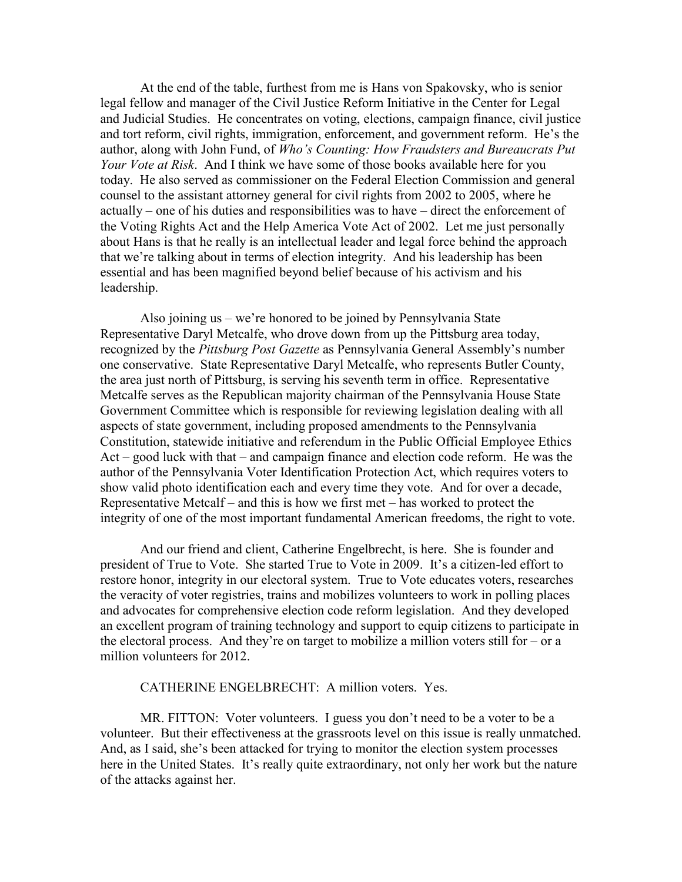At the end of the table, furthest from me is Hans von Spakovsky, who is senior legal fellow and manager of the Civil Justice Reform Initiative in the Center for Legal and Judicial Studies. He concentrates on voting, elections, campaign finance, civil justice and tort reform, civil rights, immigration, enforcement, and government reform. He's the author, along with John Fund, of *Who's Counting: How Fraudsters and Bureaucrats Put Your Vote at Risk*. And I think we have some of those books available here for you today. He also served as commissioner on the Federal Election Commission and general counsel to the assistant attorney general for civil rights from 2002 to 2005, where he actually – one of his duties and responsibilities was to have – direct the enforcement of the Voting Rights Act and the Help America Vote Act of 2002. Let me just personally about Hans is that he really is an intellectual leader and legal force behind the approach that we're talking about in terms of election integrity. And his leadership has been essential and has been magnified beyond belief because of his activism and his leadership.

Also joining us – we're honored to be joined by Pennsylvania State Representative Daryl Metcalfe, who drove down from up the Pittsburg area today, recognized by the *Pittsburg Post Gazette* as Pennsylvania General Assembly's number one conservative. State Representative Daryl Metcalfe, who represents Butler County, the area just north of Pittsburg, is serving his seventh term in office. Representative Metcalfe serves as the Republican majority chairman of the Pennsylvania House State Government Committee which is responsible for reviewing legislation dealing with all aspects of state government, including proposed amendments to the Pennsylvania Constitution, statewide initiative and referendum in the Public Official Employee Ethics Act – good luck with that – and campaign finance and election code reform. He was the author of the Pennsylvania Voter Identification Protection Act, which requires voters to show valid photo identification each and every time they vote. And for over a decade, Representative Metcalf – and this is how we first met – has worked to protect the integrity of one of the most important fundamental American freedoms, the right to vote.

And our friend and client, Catherine Engelbrecht, is here. She is founder and president of True to Vote. She started True to Vote in 2009. It's a citizen-led effort to restore honor, integrity in our electoral system. True to Vote educates voters, researches the veracity of voter registries, trains and mobilizes volunteers to work in polling places and advocates for comprehensive election code reform legislation. And they developed an excellent program of training technology and support to equip citizens to participate in the electoral process. And they're on target to mobilize a million voters still for  $-$  or a million volunteers for 2012.

#### CATHERINE ENGELBRECHT: A million voters. Yes.

MR. FITTON: Voter volunteers. I guess you don't need to be a voter to be a volunteer. But their effectiveness at the grassroots level on this issue is really unmatched. And, as I said, she's been attacked for trying to monitor the election system processes here in the United States. It's really quite extraordinary, not only her work but the nature of the attacks against her.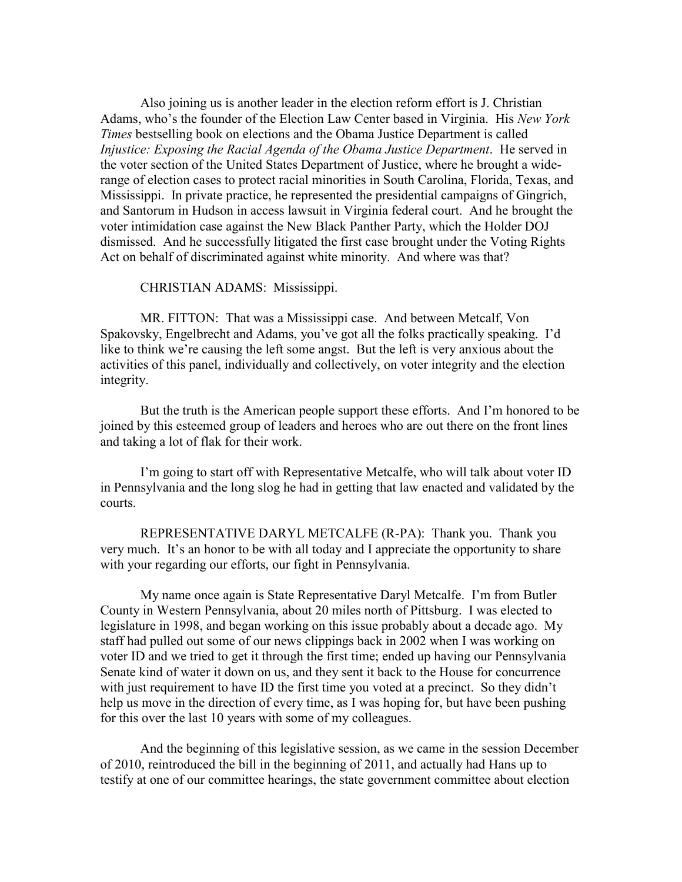Also joining us is another leader in the election reform effort is J. Christian Adams, who's the founder of the Election Law Center based in Virginia. His *New York Times* bestselling book on elections and the Obama Justice Department is called *Injustice: Exposing the Racial Agenda of the Obama Justice Department*. He served in the voter section of the United States Department of Justice, where he brought a widerange of election cases to protect racial minorities in South Carolina, Florida, Texas, and Mississippi. In private practice, he represented the presidential campaigns of Gingrich, and Santorum in Hudson in access lawsuit in Virginia federal court. And he brought the voter intimidation case against the New Black Panther Party, which the Holder DOJ dismissed. And he successfully litigated the first case brought under the Voting Rights Act on behalf of discriminated against white minority. And where was that?

CHRISTIAN ADAMS: Mississippi.

MR. FITTON: That was a Mississippi case. And between Metcalf, Von Spakovsky, Engelbrecht and Adams, you've got all the folks practically speaking. I'd like to think we're causing the left some angst. But the left is very anxious about the activities of this panel, individually and collectively, on voter integrity and the election integrity.

But the truth is the American people support these efforts. And I'm honored to be joined by this esteemed group of leaders and heroes who are out there on the front lines and taking a lot of flak for their work.

I'm going to start off with Representative Metcalfe, who will talk about voter ID in Pennsylvania and the long slog he had in getting that law enacted and validated by the courts.

REPRESENTATIVE DARYL METCALFE (R-PA): Thank you. Thank you very much. It's an honor to be with all today and I appreciate the opportunity to share with your regarding our efforts, our fight in Pennsylvania.

My name once again is State Representative Daryl Metcalfe. I'm from Butler County in Western Pennsylvania, about 20 miles north of Pittsburg. I was elected to legislature in 1998, and began working on this issue probably about a decade ago. My staff had pulled out some of our news clippings back in 2002 when I was working on voter ID and we tried to get it through the first time; ended up having our Pennsylvania Senate kind of water it down on us, and they sent it back to the House for concurrence with just requirement to have ID the first time you voted at a precinct. So they didn't help us move in the direction of every time, as I was hoping for, but have been pushing for this over the last 10 years with some of my colleagues.

And the beginning of this legislative session, as we came in the session December of 2010, reintroduced the bill in the beginning of 2011, and actually had Hans up to testify at one of our committee hearings, the state government committee about election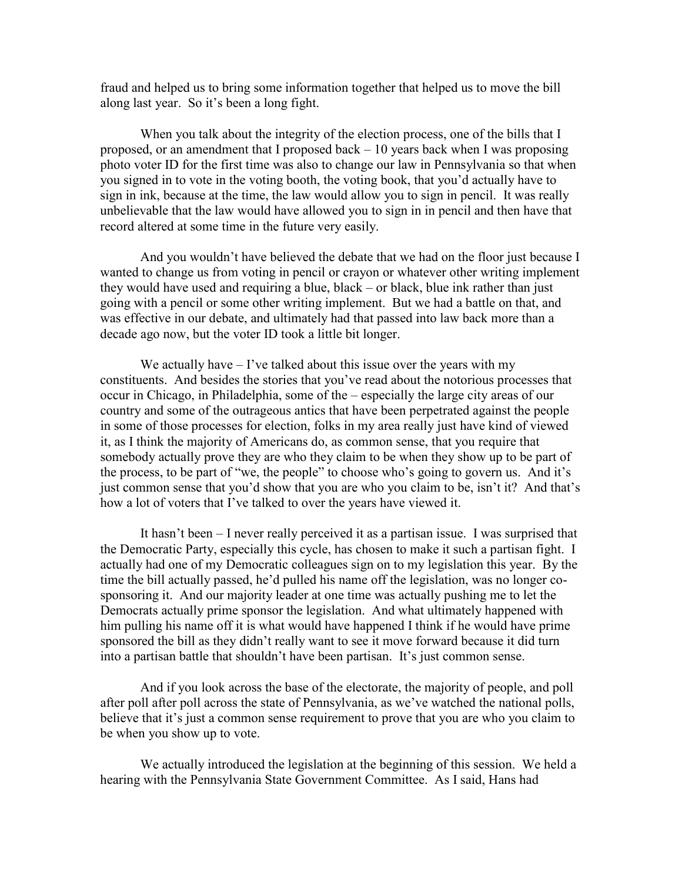fraud and helped us to bring some information together that helped us to move the bill along last year. So it's been a long fight.

When you talk about the integrity of the election process, one of the bills that I proposed, or an amendment that I proposed back – 10 years back when I was proposing photo voter ID for the first time was also to change our law in Pennsylvania so that when you signed in to vote in the voting booth, the voting book, that you'd actually have to sign in ink, because at the time, the law would allow you to sign in pencil. It was really unbelievable that the law would have allowed you to sign in in pencil and then have that record altered at some time in the future very easily.

And you wouldn't have believed the debate that we had on the floor just because I wanted to change us from voting in pencil or crayon or whatever other writing implement they would have used and requiring a blue, black – or black, blue ink rather than just going with a pencil or some other writing implement. But we had a battle on that, and was effective in our debate, and ultimately had that passed into law back more than a decade ago now, but the voter ID took a little bit longer.

We actually have  $-1$ 've talked about this issue over the years with my constituents. And besides the stories that you've read about the notorious processes that occur in Chicago, in Philadelphia, some of the – especially the large city areas of our country and some of the outrageous antics that have been perpetrated against the people in some of those processes for election, folks in my area really just have kind of viewed it, as I think the majority of Americans do, as common sense, that you require that somebody actually prove they are who they claim to be when they show up to be part of the process, to be part of "we, the people" to choose who's going to govern us. And it's just common sense that you'd show that you are who you claim to be, isn't it? And that's how a lot of voters that I've talked to over the years have viewed it.

It hasn't been – I never really perceived it as a partisan issue. I was surprised that the Democratic Party, especially this cycle, has chosen to make it such a partisan fight. I actually had one of my Democratic colleagues sign on to my legislation this year. By the time the bill actually passed, he'd pulled his name off the legislation, was no longer cosponsoring it. And our majority leader at one time was actually pushing me to let the Democrats actually prime sponsor the legislation. And what ultimately happened with him pulling his name off it is what would have happened I think if he would have prime sponsored the bill as they didn't really want to see it move forward because it did turn into a partisan battle that shouldn't have been partisan. It's just common sense.

And if you look across the base of the electorate, the majority of people, and poll after poll after poll across the state of Pennsylvania, as we've watched the national polls, believe that it's just a common sense requirement to prove that you are who you claim to be when you show up to vote.

We actually introduced the legislation at the beginning of this session. We held a hearing with the Pennsylvania State Government Committee. As I said, Hans had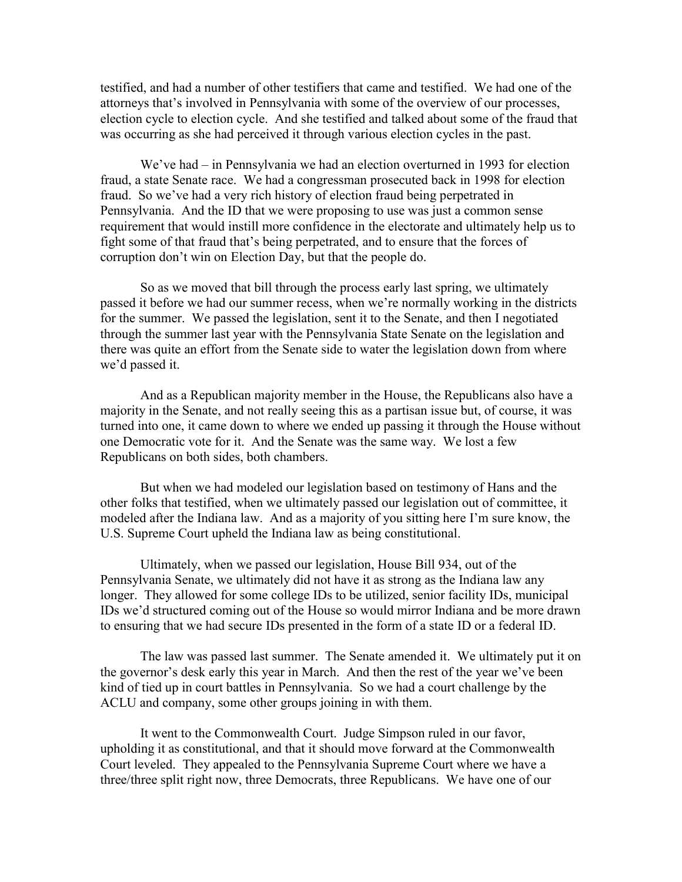testified, and had a number of other testifiers that came and testified. We had one of the attorneys that's involved in Pennsylvania with some of the overview of our processes, election cycle to election cycle. And she testified and talked about some of the fraud that was occurring as she had perceived it through various election cycles in the past.

We've had – in Pennsylvania we had an election overturned in 1993 for election fraud, a state Senate race. We had a congressman prosecuted back in 1998 for election fraud. So we've had a very rich history of election fraud being perpetrated in Pennsylvania. And the ID that we were proposing to use was just a common sense requirement that would instill more confidence in the electorate and ultimately help us to fight some of that fraud that's being perpetrated, and to ensure that the forces of corruption don't win on Election Day, but that the people do.

So as we moved that bill through the process early last spring, we ultimately passed it before we had our summer recess, when we're normally working in the districts for the summer. We passed the legislation, sent it to the Senate, and then I negotiated through the summer last year with the Pennsylvania State Senate on the legislation and there was quite an effort from the Senate side to water the legislation down from where we'd passed it.

And as a Republican majority member in the House, the Republicans also have a majority in the Senate, and not really seeing this as a partisan issue but, of course, it was turned into one, it came down to where we ended up passing it through the House without one Democratic vote for it. And the Senate was the same way. We lost a few Republicans on both sides, both chambers.

But when we had modeled our legislation based on testimony of Hans and the other folks that testified, when we ultimately passed our legislation out of committee, it modeled after the Indiana law. And as a majority of you sitting here I'm sure know, the U.S. Supreme Court upheld the Indiana law as being constitutional.

Ultimately, when we passed our legislation, House Bill 934, out of the Pennsylvania Senate, we ultimately did not have it as strong as the Indiana law any longer. They allowed for some college IDs to be utilized, senior facility IDs, municipal IDs we'd structured coming out of the House so would mirror Indiana and be more drawn to ensuring that we had secure IDs presented in the form of a state ID or a federal ID.

The law was passed last summer. The Senate amended it. We ultimately put it on the governor's desk early this year in March. And then the rest of the year we've been kind of tied up in court battles in Pennsylvania. So we had a court challenge by the ACLU and company, some other groups joining in with them.

It went to the Commonwealth Court. Judge Simpson ruled in our favor, upholding it as constitutional, and that it should move forward at the Commonwealth Court leveled. They appealed to the Pennsylvania Supreme Court where we have a three/three split right now, three Democrats, three Republicans. We have one of our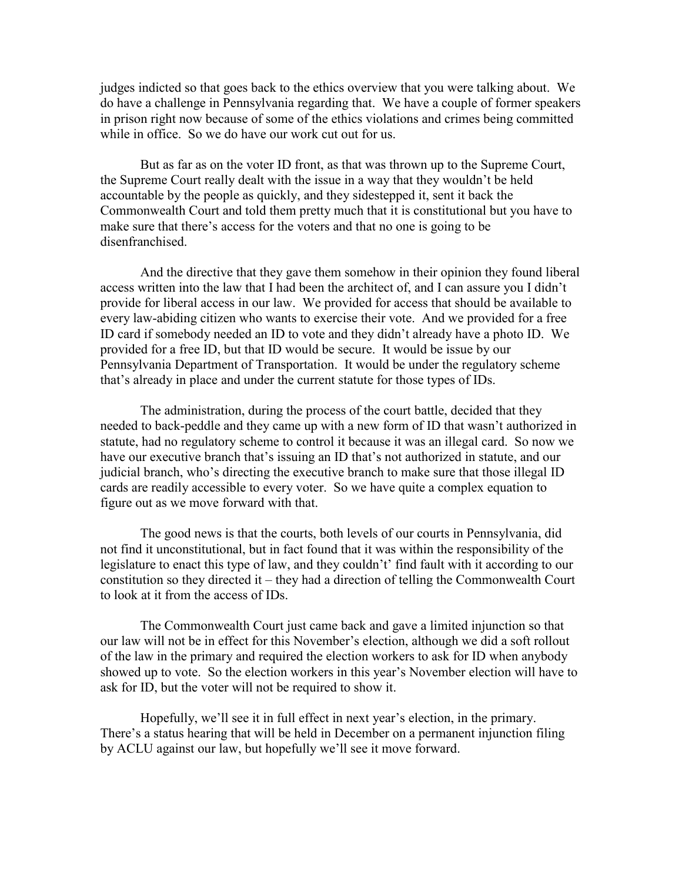judges indicted so that goes back to the ethics overview that you were talking about. We do have a challenge in Pennsylvania regarding that. We have a couple of former speakers in prison right now because of some of the ethics violations and crimes being committed while in office. So we do have our work cut out for us.

But as far as on the voter ID front, as that was thrown up to the Supreme Court, the Supreme Court really dealt with the issue in a way that they wouldn't be held accountable by the people as quickly, and they sidestepped it, sent it back the Commonwealth Court and told them pretty much that it is constitutional but you have to make sure that there's access for the voters and that no one is going to be disenfranchised.

And the directive that they gave them somehow in their opinion they found liberal access written into the law that I had been the architect of, and I can assure you I didn't provide for liberal access in our law. We provided for access that should be available to every law-abiding citizen who wants to exercise their vote. And we provided for a free ID card if somebody needed an ID to vote and they didn't already have a photo ID. We provided for a free ID, but that ID would be secure. It would be issue by our Pennsylvania Department of Transportation. It would be under the regulatory scheme that's already in place and under the current statute for those types of IDs.

The administration, during the process of the court battle, decided that they needed to back-peddle and they came up with a new form of ID that wasn't authorized in statute, had no regulatory scheme to control it because it was an illegal card. So now we have our executive branch that's issuing an ID that's not authorized in statute, and our judicial branch, who's directing the executive branch to make sure that those illegal ID cards are readily accessible to every voter. So we have quite a complex equation to figure out as we move forward with that.

The good news is that the courts, both levels of our courts in Pennsylvania, did not find it unconstitutional, but in fact found that it was within the responsibility of the legislature to enact this type of law, and they couldn't' find fault with it according to our constitution so they directed it – they had a direction of telling the Commonwealth Court to look at it from the access of IDs.

The Commonwealth Court just came back and gave a limited injunction so that our law will not be in effect for this November's election, although we did a soft rollout of the law in the primary and required the election workers to ask for ID when anybody showed up to vote. So the election workers in this year's November election will have to ask for ID, but the voter will not be required to show it.

Hopefully, we'll see it in full effect in next year's election, in the primary. There's a status hearing that will be held in December on a permanent injunction filing by ACLU against our law, but hopefully we'll see it move forward.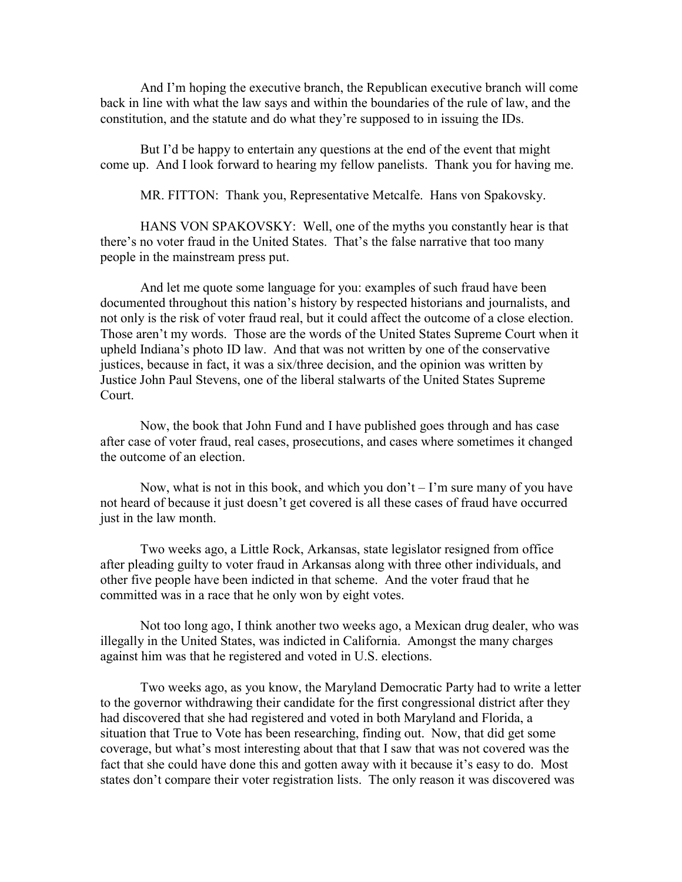And I'm hoping the executive branch, the Republican executive branch will come back in line with what the law says and within the boundaries of the rule of law, and the constitution, and the statute and do what they're supposed to in issuing the IDs.

But I'd be happy to entertain any questions at the end of the event that might come up. And I look forward to hearing my fellow panelists. Thank you for having me.

MR. FITTON: Thank you, Representative Metcalfe. Hans von Spakovsky.

HANS VON SPAKOVSKY: Well, one of the myths you constantly hear is that there's no voter fraud in the United States. That's the false narrative that too many people in the mainstream press put.

And let me quote some language for you: examples of such fraud have been documented throughout this nation's history by respected historians and journalists, and not only is the risk of voter fraud real, but it could affect the outcome of a close election. Those aren't my words. Those are the words of the United States Supreme Court when it upheld Indiana's photo ID law. And that was not written by one of the conservative justices, because in fact, it was a six/three decision, and the opinion was written by Justice John Paul Stevens, one of the liberal stalwarts of the United States Supreme Court.

Now, the book that John Fund and I have published goes through and has case after case of voter fraud, real cases, prosecutions, and cases where sometimes it changed the outcome of an election.

Now, what is not in this book, and which you don't  $-1$ 'm sure many of you have not heard of because it just doesn't get covered is all these cases of fraud have occurred just in the law month.

Two weeks ago, a Little Rock, Arkansas, state legislator resigned from office after pleading guilty to voter fraud in Arkansas along with three other individuals, and other five people have been indicted in that scheme. And the voter fraud that he committed was in a race that he only won by eight votes.

Not too long ago, I think another two weeks ago, a Mexican drug dealer, who was illegally in the United States, was indicted in California. Amongst the many charges against him was that he registered and voted in U.S. elections.

Two weeks ago, as you know, the Maryland Democratic Party had to write a letter to the governor withdrawing their candidate for the first congressional district after they had discovered that she had registered and voted in both Maryland and Florida, a situation that True to Vote has been researching, finding out. Now, that did get some coverage, but what's most interesting about that that I saw that was not covered was the fact that she could have done this and gotten away with it because it's easy to do. Most states don't compare their voter registration lists. The only reason it was discovered was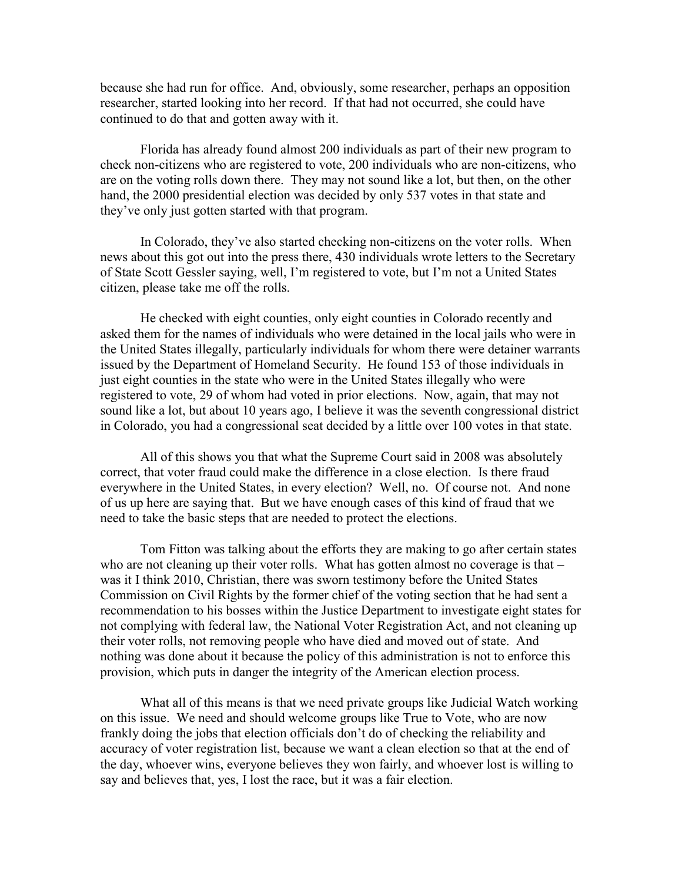because she had run for office. And, obviously, some researcher, perhaps an opposition researcher, started looking into her record. If that had not occurred, she could have continued to do that and gotten away with it.

Florida has already found almost 200 individuals as part of their new program to check non-citizens who are registered to vote, 200 individuals who are non-citizens, who are on the voting rolls down there. They may not sound like a lot, but then, on the other hand, the 2000 presidential election was decided by only 537 votes in that state and they've only just gotten started with that program.

In Colorado, they've also started checking non-citizens on the voter rolls. When news about this got out into the press there, 430 individuals wrote letters to the Secretary of State Scott Gessler saying, well, I'm registered to vote, but I'm not a United States citizen, please take me off the rolls.

He checked with eight counties, only eight counties in Colorado recently and asked them for the names of individuals who were detained in the local jails who were in the United States illegally, particularly individuals for whom there were detainer warrants issued by the Department of Homeland Security. He found 153 of those individuals in just eight counties in the state who were in the United States illegally who were registered to vote, 29 of whom had voted in prior elections. Now, again, that may not sound like a lot, but about 10 years ago, I believe it was the seventh congressional district in Colorado, you had a congressional seat decided by a little over 100 votes in that state.

All of this shows you that what the Supreme Court said in 2008 was absolutely correct, that voter fraud could make the difference in a close election. Is there fraud everywhere in the United States, in every election? Well, no. Of course not. And none of us up here are saying that. But we have enough cases of this kind of fraud that we need to take the basic steps that are needed to protect the elections.

Tom Fitton was talking about the efforts they are making to go after certain states who are not cleaning up their voter rolls. What has gotten almost no coverage is that – was it I think 2010, Christian, there was sworn testimony before the United States Commission on Civil Rights by the former chief of the voting section that he had sent a recommendation to his bosses within the Justice Department to investigate eight states for not complying with federal law, the National Voter Registration Act, and not cleaning up their voter rolls, not removing people who have died and moved out of state. And nothing was done about it because the policy of this administration is not to enforce this provision, which puts in danger the integrity of the American election process.

What all of this means is that we need private groups like Judicial Watch working on this issue. We need and should welcome groups like True to Vote, who are now frankly doing the jobs that election officials don't do of checking the reliability and accuracy of voter registration list, because we want a clean election so that at the end of the day, whoever wins, everyone believes they won fairly, and whoever lost is willing to say and believes that, yes, I lost the race, but it was a fair election.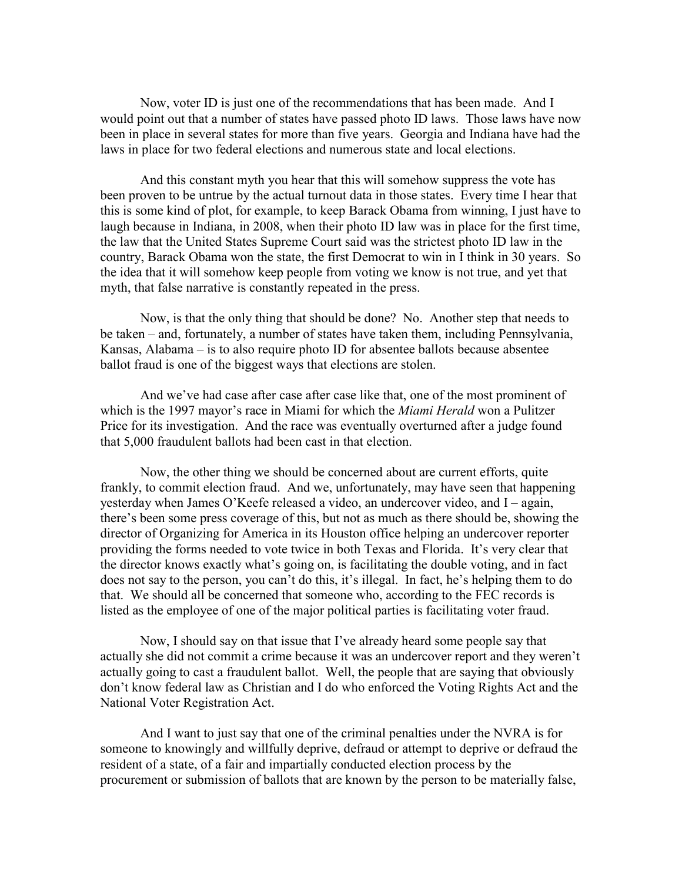Now, voter ID is just one of the recommendations that has been made. And I would point out that a number of states have passed photo ID laws. Those laws have now been in place in several states for more than five years. Georgia and Indiana have had the laws in place for two federal elections and numerous state and local elections.

And this constant myth you hear that this will somehow suppress the vote has been proven to be untrue by the actual turnout data in those states. Every time I hear that this is some kind of plot, for example, to keep Barack Obama from winning, I just have to laugh because in Indiana, in 2008, when their photo ID law was in place for the first time, the law that the United States Supreme Court said was the strictest photo ID law in the country, Barack Obama won the state, the first Democrat to win in I think in 30 years. So the idea that it will somehow keep people from voting we know is not true, and yet that myth, that false narrative is constantly repeated in the press.

Now, is that the only thing that should be done? No. Another step that needs to be taken – and, fortunately, a number of states have taken them, including Pennsylvania, Kansas, Alabama – is to also require photo ID for absentee ballots because absentee ballot fraud is one of the biggest ways that elections are stolen.

And we've had case after case after case like that, one of the most prominent of which is the 1997 mayor's race in Miami for which the *Miami Herald* won a Pulitzer Price for its investigation. And the race was eventually overturned after a judge found that 5,000 fraudulent ballots had been cast in that election.

Now, the other thing we should be concerned about are current efforts, quite frankly, to commit election fraud. And we, unfortunately, may have seen that happening yesterday when James O'Keefe released a video, an undercover video, and I – again, there's been some press coverage of this, but not as much as there should be, showing the director of Organizing for America in its Houston office helping an undercover reporter providing the forms needed to vote twice in both Texas and Florida. It's very clear that the director knows exactly what's going on, is facilitating the double voting, and in fact does not say to the person, you can't do this, it's illegal. In fact, he's helping them to do that. We should all be concerned that someone who, according to the FEC records is listed as the employee of one of the major political parties is facilitating voter fraud.

Now, I should say on that issue that I've already heard some people say that actually she did not commit a crime because it was an undercover report and they weren't actually going to cast a fraudulent ballot. Well, the people that are saying that obviously don't know federal law as Christian and I do who enforced the Voting Rights Act and the National Voter Registration Act.

And I want to just say that one of the criminal penalties under the NVRA is for someone to knowingly and willfully deprive, defraud or attempt to deprive or defraud the resident of a state, of a fair and impartially conducted election process by the procurement or submission of ballots that are known by the person to be materially false,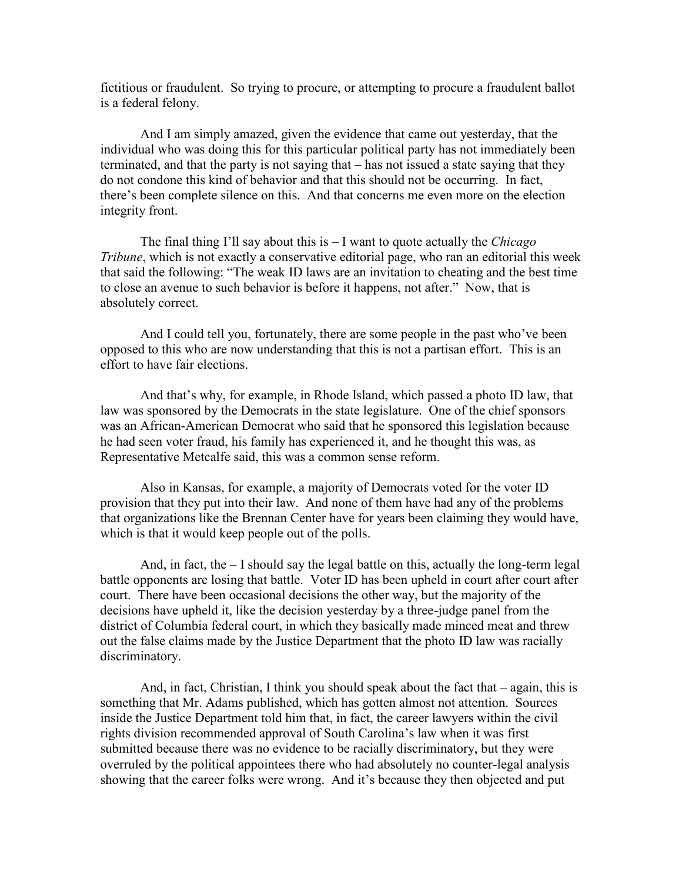fictitious or fraudulent. So trying to procure, or attempting to procure a fraudulent ballot is a federal felony.

And I am simply amazed, given the evidence that came out yesterday, that the individual who was doing this for this particular political party has not immediately been terminated, and that the party is not saying that – has not issued a state saying that they do not condone this kind of behavior and that this should not be occurring. In fact, there's been complete silence on this. And that concerns me even more on the election integrity front.

The final thing I'll say about this is – I want to quote actually the *Chicago Tribune*, which is not exactly a conservative editorial page, who ran an editorial this week that said the following: "The weak ID laws are an invitation to cheating and the best time to close an avenue to such behavior is before it happens, not after." Now, that is absolutely correct.

And I could tell you, fortunately, there are some people in the past who've been opposed to this who are now understanding that this is not a partisan effort. This is an effort to have fair elections.

And that's why, for example, in Rhode Island, which passed a photo ID law, that law was sponsored by the Democrats in the state legislature. One of the chief sponsors was an African-American Democrat who said that he sponsored this legislation because he had seen voter fraud, his family has experienced it, and he thought this was, as Representative Metcalfe said, this was a common sense reform.

Also in Kansas, for example, a majority of Democrats voted for the voter ID provision that they put into their law. And none of them have had any of the problems that organizations like the Brennan Center have for years been claiming they would have, which is that it would keep people out of the polls.

And, in fact, the – I should say the legal battle on this, actually the long-term legal battle opponents are losing that battle. Voter ID has been upheld in court after court after court. There have been occasional decisions the other way, but the majority of the decisions have upheld it, like the decision yesterday by a three-judge panel from the district of Columbia federal court, in which they basically made minced meat and threw out the false claims made by the Justice Department that the photo ID law was racially discriminatory.

And, in fact, Christian, I think you should speak about the fact that – again, this is something that Mr. Adams published, which has gotten almost not attention. Sources inside the Justice Department told him that, in fact, the career lawyers within the civil rights division recommended approval of South Carolina's law when it was first submitted because there was no evidence to be racially discriminatory, but they were overruled by the political appointees there who had absolutely no counter-legal analysis showing that the career folks were wrong. And it's because they then objected and put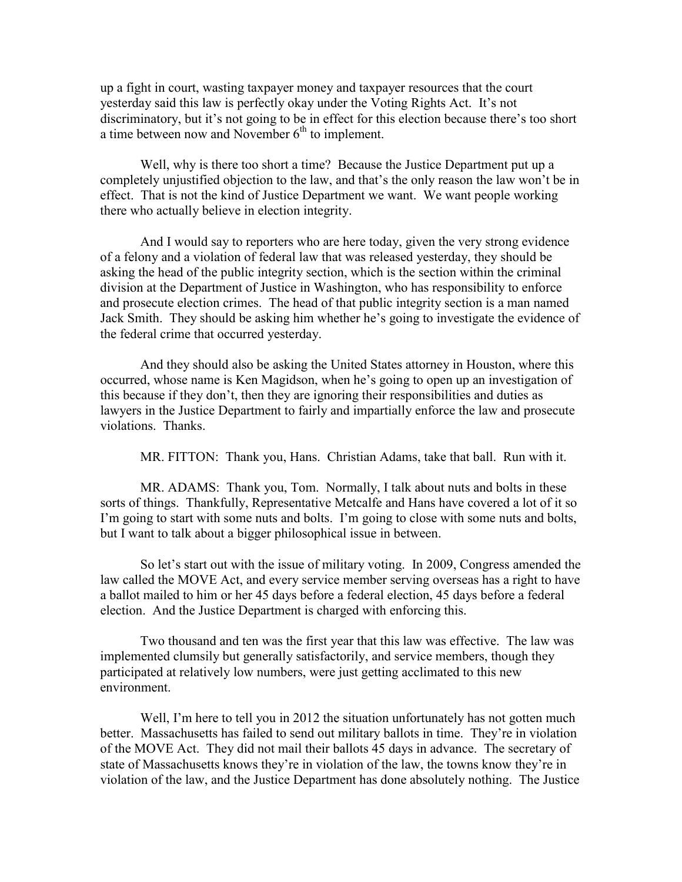up a fight in court, wasting taxpayer money and taxpayer resources that the court yesterday said this law is perfectly okay under the Voting Rights Act. It's not discriminatory, but it's not going to be in effect for this election because there's too short a time between now and November  $6<sup>th</sup>$  to implement.

Well, why is there too short a time? Because the Justice Department put up a completely unjustified objection to the law, and that's the only reason the law won't be in effect. That is not the kind of Justice Department we want. We want people working there who actually believe in election integrity.

And I would say to reporters who are here today, given the very strong evidence of a felony and a violation of federal law that was released yesterday, they should be asking the head of the public integrity section, which is the section within the criminal division at the Department of Justice in Washington, who has responsibility to enforce and prosecute election crimes. The head of that public integrity section is a man named Jack Smith. They should be asking him whether he's going to investigate the evidence of the federal crime that occurred yesterday.

And they should also be asking the United States attorney in Houston, where this occurred, whose name is Ken Magidson, when he's going to open up an investigation of this because if they don't, then they are ignoring their responsibilities and duties as lawyers in the Justice Department to fairly and impartially enforce the law and prosecute violations. Thanks.

MR. FITTON: Thank you, Hans. Christian Adams, take that ball. Run with it.

MR. ADAMS: Thank you, Tom. Normally, I talk about nuts and bolts in these sorts of things. Thankfully, Representative Metcalfe and Hans have covered a lot of it so I'm going to start with some nuts and bolts. I'm going to close with some nuts and bolts, but I want to talk about a bigger philosophical issue in between.

So let's start out with the issue of military voting. In 2009, Congress amended the law called the MOVE Act, and every service member serving overseas has a right to have a ballot mailed to him or her 45 days before a federal election, 45 days before a federal election. And the Justice Department is charged with enforcing this.

Two thousand and ten was the first year that this law was effective. The law was implemented clumsily but generally satisfactorily, and service members, though they participated at relatively low numbers, were just getting acclimated to this new environment.

Well, I'm here to tell you in 2012 the situation unfortunately has not gotten much better. Massachusetts has failed to send out military ballots in time. They're in violation of the MOVE Act. They did not mail their ballots 45 days in advance. The secretary of state of Massachusetts knows they're in violation of the law, the towns know they're in violation of the law, and the Justice Department has done absolutely nothing. The Justice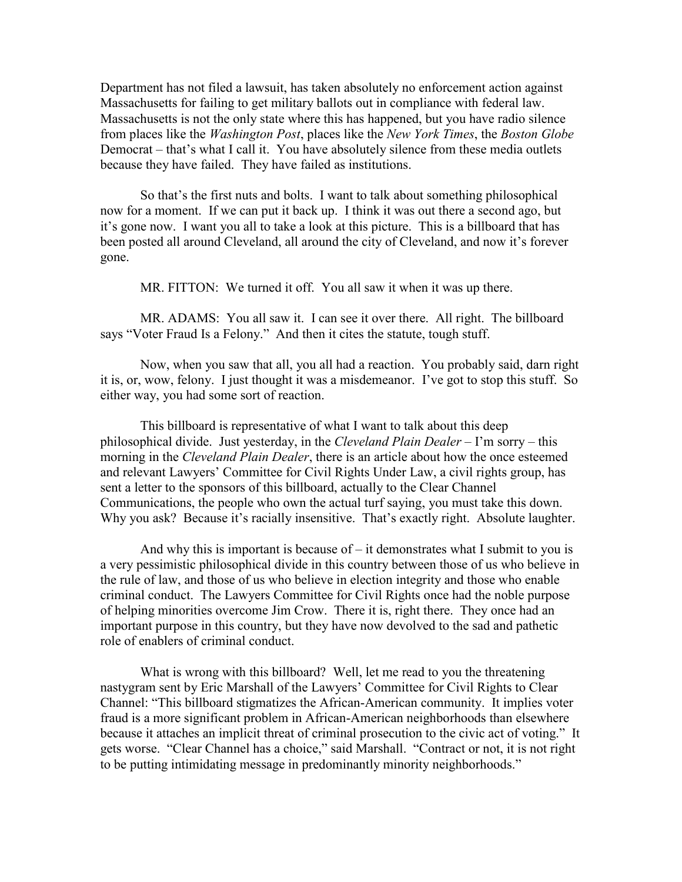Department has not filed a lawsuit, has taken absolutely no enforcement action against Massachusetts for failing to get military ballots out in compliance with federal law. Massachusetts is not the only state where this has happened, but you have radio silence from places like the *Washington Post*, places like the *New York Times*, the *Boston Globe* Democrat – that's what I call it. You have absolutely silence from these media outlets because they have failed. They have failed as institutions.

So that's the first nuts and bolts. I want to talk about something philosophical now for a moment. If we can put it back up. I think it was out there a second ago, but it's gone now. I want you all to take a look at this picture. This is a billboard that has been posted all around Cleveland, all around the city of Cleveland, and now it's forever gone.

MR. FITTON: We turned it off. You all saw it when it was up there.

MR. ADAMS: You all saw it. I can see it over there. All right. The billboard says "Voter Fraud Is a Felony." And then it cites the statute, tough stuff.

Now, when you saw that all, you all had a reaction. You probably said, darn right it is, or, wow, felony. I just thought it was a misdemeanor. I've got to stop this stuff. So either way, you had some sort of reaction.

This billboard is representative of what I want to talk about this deep philosophical divide. Just yesterday, in the *Cleveland Plain Dealer* – I'm sorry – this morning in the *Cleveland Plain Dealer*, there is an article about how the once esteemed and relevant Lawyers' Committee for Civil Rights Under Law, a civil rights group, has sent a letter to the sponsors of this billboard, actually to the Clear Channel Communications, the people who own the actual turf saying, you must take this down. Why you ask? Because it's racially insensitive. That's exactly right. Absolute laughter.

And why this is important is because of  $-$  it demonstrates what I submit to you is a very pessimistic philosophical divide in this country between those of us who believe in the rule of law, and those of us who believe in election integrity and those who enable criminal conduct. The Lawyers Committee for Civil Rights once had the noble purpose of helping minorities overcome Jim Crow. There it is, right there. They once had an important purpose in this country, but they have now devolved to the sad and pathetic role of enablers of criminal conduct.

What is wrong with this billboard? Well, let me read to you the threatening nastygram sent by Eric Marshall of the Lawyers' Committee for Civil Rights to Clear Channel: "This billboard stigmatizes the African-American community. It implies voter fraud is a more significant problem in African-American neighborhoods than elsewhere because it attaches an implicit threat of criminal prosecution to the civic act of voting." It gets worse. "Clear Channel has a choice," said Marshall. "Contract or not, it is not right to be putting intimidating message in predominantly minority neighborhoods."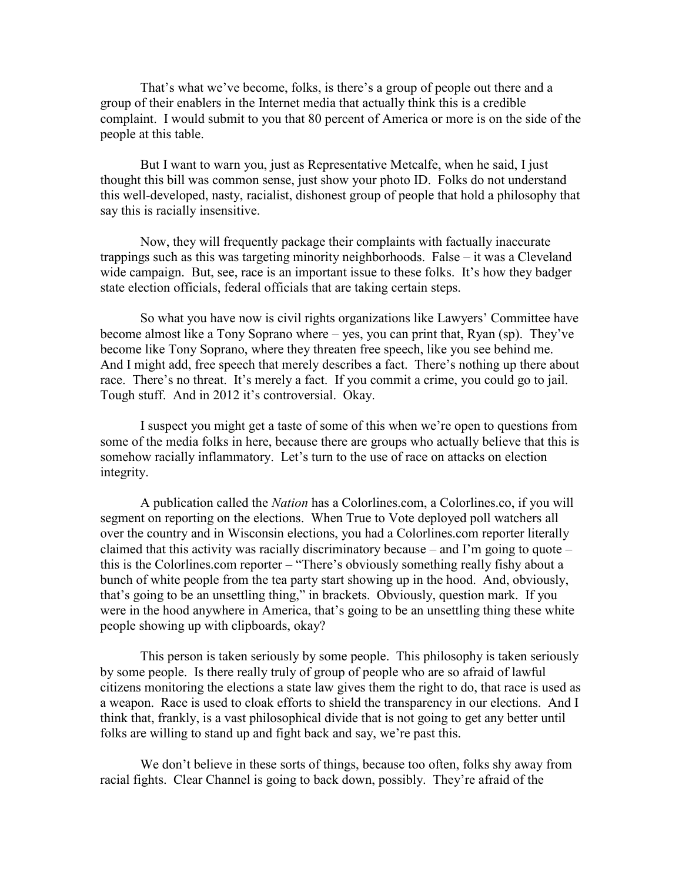That's what we've become, folks, is there's a group of people out there and a group of their enablers in the Internet media that actually think this is a credible complaint. I would submit to you that 80 percent of America or more is on the side of the people at this table.

But I want to warn you, just as Representative Metcalfe, when he said, I just thought this bill was common sense, just show your photo ID. Folks do not understand this well-developed, nasty, racialist, dishonest group of people that hold a philosophy that say this is racially insensitive.

Now, they will frequently package their complaints with factually inaccurate trappings such as this was targeting minority neighborhoods. False – it was a Cleveland wide campaign. But, see, race is an important issue to these folks. It's how they badger state election officials, federal officials that are taking certain steps.

So what you have now is civil rights organizations like Lawyers' Committee have become almost like a Tony Soprano where – yes, you can print that, Ryan (sp). They've become like Tony Soprano, where they threaten free speech, like you see behind me. And I might add, free speech that merely describes a fact. There's nothing up there about race. There's no threat. It's merely a fact. If you commit a crime, you could go to jail. Tough stuff. And in 2012 it's controversial. Okay.

I suspect you might get a taste of some of this when we're open to questions from some of the media folks in here, because there are groups who actually believe that this is somehow racially inflammatory. Let's turn to the use of race on attacks on election integrity.

A publication called the *Nation* has a Colorlines.com, a Colorlines.co, if you will segment on reporting on the elections. When True to Vote deployed poll watchers all over the country and in Wisconsin elections, you had a Colorlines.com reporter literally claimed that this activity was racially discriminatory because – and I'm going to quote – this is the Colorlines.com reporter – "There's obviously something really fishy about a bunch of white people from the tea party start showing up in the hood. And, obviously, that's going to be an unsettling thing," in brackets. Obviously, question mark. If you were in the hood anywhere in America, that's going to be an unsettling thing these white people showing up with clipboards, okay?

This person is taken seriously by some people. This philosophy is taken seriously by some people. Is there really truly of group of people who are so afraid of lawful citizens monitoring the elections a state law gives them the right to do, that race is used as a weapon. Race is used to cloak efforts to shield the transparency in our elections. And I think that, frankly, is a vast philosophical divide that is not going to get any better until folks are willing to stand up and fight back and say, we're past this.

We don't believe in these sorts of things, because too often, folks shy away from racial fights. Clear Channel is going to back down, possibly. They're afraid of the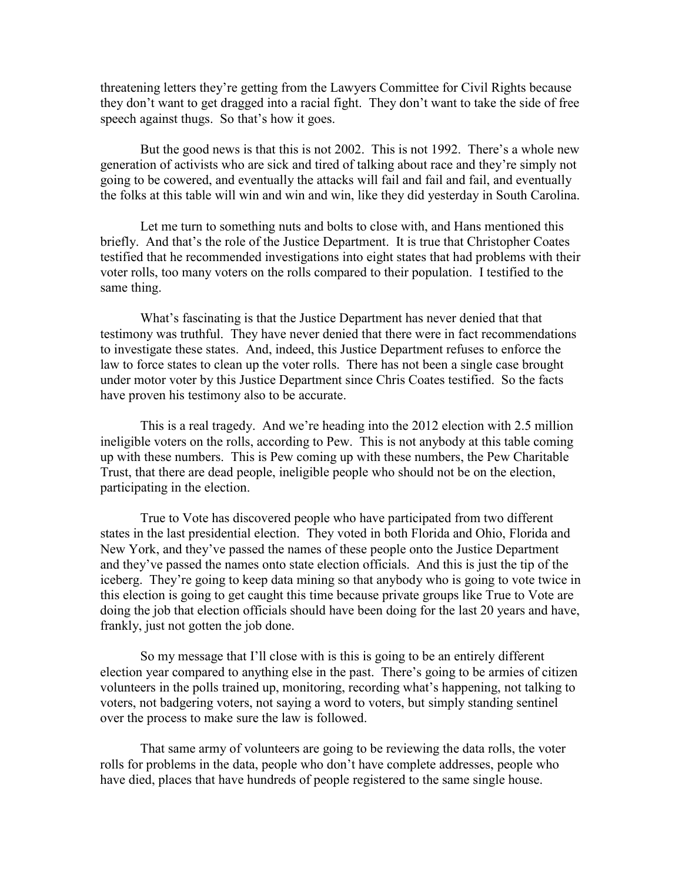threatening letters they're getting from the Lawyers Committee for Civil Rights because they don't want to get dragged into a racial fight. They don't want to take the side of free speech against thugs. So that's how it goes.

But the good news is that this is not 2002. This is not 1992. There's a whole new generation of activists who are sick and tired of talking about race and they're simply not going to be cowered, and eventually the attacks will fail and fail and fail, and eventually the folks at this table will win and win and win, like they did yesterday in South Carolina.

Let me turn to something nuts and bolts to close with, and Hans mentioned this briefly. And that's the role of the Justice Department. It is true that Christopher Coates testified that he recommended investigations into eight states that had problems with their voter rolls, too many voters on the rolls compared to their population. I testified to the same thing.

What's fascinating is that the Justice Department has never denied that that testimony was truthful. They have never denied that there were in fact recommendations to investigate these states. And, indeed, this Justice Department refuses to enforce the law to force states to clean up the voter rolls. There has not been a single case brought under motor voter by this Justice Department since Chris Coates testified. So the facts have proven his testimony also to be accurate.

This is a real tragedy. And we're heading into the 2012 election with 2.5 million ineligible voters on the rolls, according to Pew. This is not anybody at this table coming up with these numbers. This is Pew coming up with these numbers, the Pew Charitable Trust, that there are dead people, ineligible people who should not be on the election, participating in the election.

True to Vote has discovered people who have participated from two different states in the last presidential election. They voted in both Florida and Ohio, Florida and New York, and they've passed the names of these people onto the Justice Department and they've passed the names onto state election officials. And this is just the tip of the iceberg. They're going to keep data mining so that anybody who is going to vote twice in this election is going to get caught this time because private groups like True to Vote are doing the job that election officials should have been doing for the last 20 years and have, frankly, just not gotten the job done.

So my message that I'll close with is this is going to be an entirely different election year compared to anything else in the past. There's going to be armies of citizen volunteers in the polls trained up, monitoring, recording what's happening, not talking to voters, not badgering voters, not saying a word to voters, but simply standing sentinel over the process to make sure the law is followed.

That same army of volunteers are going to be reviewing the data rolls, the voter rolls for problems in the data, people who don't have complete addresses, people who have died, places that have hundreds of people registered to the same single house.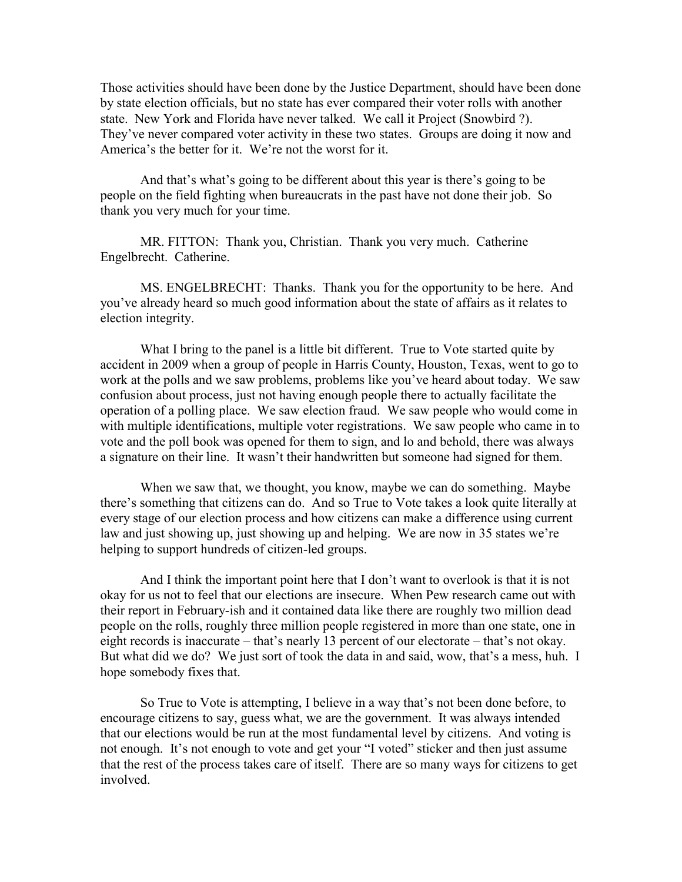Those activities should have been done by the Justice Department, should have been done by state election officials, but no state has ever compared their voter rolls with another state. New York and Florida have never talked. We call it Project (Snowbird ?). They've never compared voter activity in these two states. Groups are doing it now and America's the better for it. We're not the worst for it.

And that's what's going to be different about this year is there's going to be people on the field fighting when bureaucrats in the past have not done their job. So thank you very much for your time.

MR. FITTON: Thank you, Christian. Thank you very much. Catherine Engelbrecht. Catherine.

MS. ENGELBRECHT: Thanks. Thank you for the opportunity to be here. And you've already heard so much good information about the state of affairs as it relates to election integrity.

What I bring to the panel is a little bit different. True to Vote started quite by accident in 2009 when a group of people in Harris County, Houston, Texas, went to go to work at the polls and we saw problems, problems like you've heard about today. We saw confusion about process, just not having enough people there to actually facilitate the operation of a polling place. We saw election fraud. We saw people who would come in with multiple identifications, multiple voter registrations. We saw people who came in to vote and the poll book was opened for them to sign, and lo and behold, there was always a signature on their line. It wasn't their handwritten but someone had signed for them.

When we saw that, we thought, you know, maybe we can do something. Maybe there's something that citizens can do. And so True to Vote takes a look quite literally at every stage of our election process and how citizens can make a difference using current law and just showing up, just showing up and helping. We are now in 35 states we're helping to support hundreds of citizen-led groups.

And I think the important point here that I don't want to overlook is that it is not okay for us not to feel that our elections are insecure. When Pew research came out with their report in February-ish and it contained data like there are roughly two million dead people on the rolls, roughly three million people registered in more than one state, one in eight records is inaccurate – that's nearly 13 percent of our electorate – that's not okay. But what did we do? We just sort of took the data in and said, wow, that's a mess, huh. I hope somebody fixes that.

So True to Vote is attempting, I believe in a way that's not been done before, to encourage citizens to say, guess what, we are the government. It was always intended that our elections would be run at the most fundamental level by citizens. And voting is not enough. It's not enough to vote and get your "I voted" sticker and then just assume that the rest of the process takes care of itself. There are so many ways for citizens to get involved.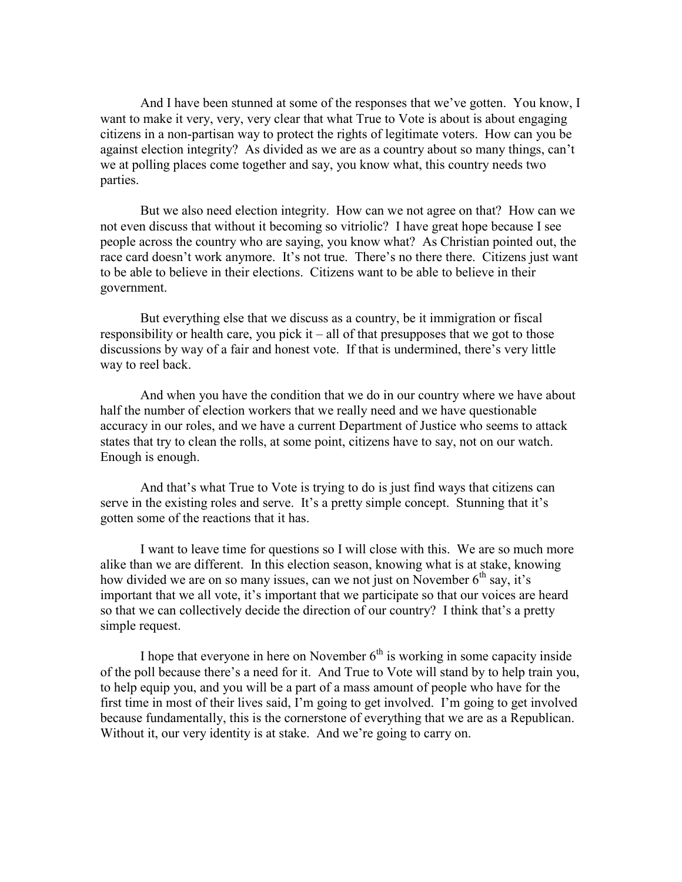And I have been stunned at some of the responses that we've gotten. You know, I want to make it very, very, very clear that what True to Vote is about is about engaging citizens in a non-partisan way to protect the rights of legitimate voters. How can you be against election integrity? As divided as we are as a country about so many things, can't we at polling places come together and say, you know what, this country needs two parties.

But we also need election integrity. How can we not agree on that? How can we not even discuss that without it becoming so vitriolic? I have great hope because I see people across the country who are saying, you know what? As Christian pointed out, the race card doesn't work anymore. It's not true. There's no there there. Citizens just want to be able to believe in their elections. Citizens want to be able to believe in their government.

But everything else that we discuss as a country, be it immigration or fiscal responsibility or health care, you pick it – all of that presupposes that we got to those discussions by way of a fair and honest vote. If that is undermined, there's very little way to reel back.

And when you have the condition that we do in our country where we have about half the number of election workers that we really need and we have questionable accuracy in our roles, and we have a current Department of Justice who seems to attack states that try to clean the rolls, at some point, citizens have to say, not on our watch. Enough is enough.

And that's what True to Vote is trying to do is just find ways that citizens can serve in the existing roles and serve. It's a pretty simple concept. Stunning that it's gotten some of the reactions that it has.

I want to leave time for questions so I will close with this. We are so much more alike than we are different. In this election season, knowing what is at stake, knowing how divided we are on so many issues, can we not just on November  $6<sup>th</sup>$  say, it's important that we all vote, it's important that we participate so that our voices are heard so that we can collectively decide the direction of our country? I think that's a pretty simple request.

I hope that everyone in here on November  $6<sup>th</sup>$  is working in some capacity inside of the poll because there's a need for it. And True to Vote will stand by to help train you, to help equip you, and you will be a part of a mass amount of people who have for the first time in most of their lives said, I'm going to get involved. I'm going to get involved because fundamentally, this is the cornerstone of everything that we are as a Republican. Without it, our very identity is at stake. And we're going to carry on.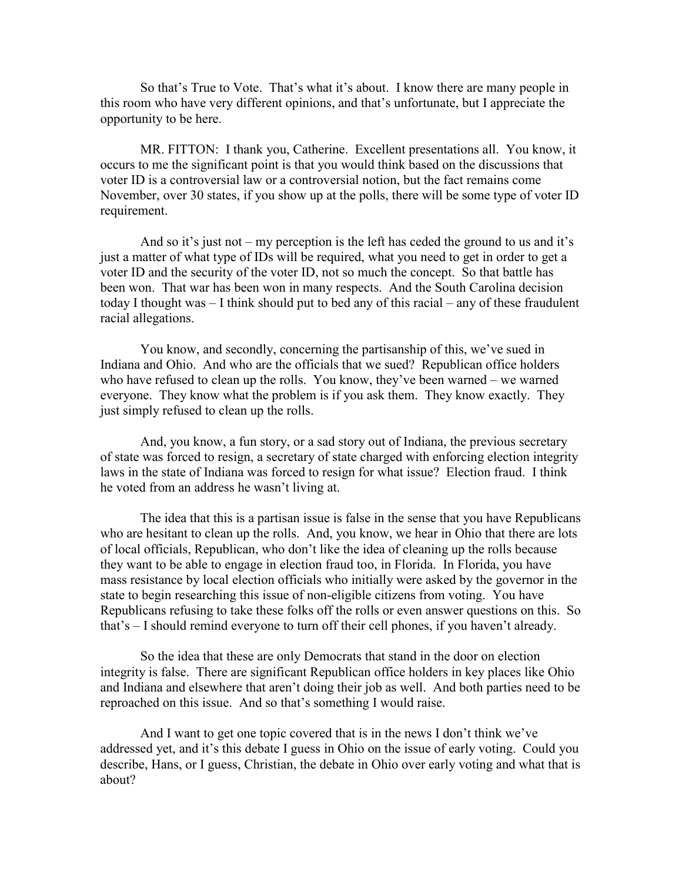So that's True to Vote. That's what it's about. I know there are many people in this room who have very different opinions, and that's unfortunate, but I appreciate the opportunity to be here.

MR. FITTON: I thank you, Catherine. Excellent presentations all. You know, it occurs to me the significant point is that you would think based on the discussions that voter ID is a controversial law or a controversial notion, but the fact remains come November, over 30 states, if you show up at the polls, there will be some type of voter ID requirement.

And so it's just not – my perception is the left has ceded the ground to us and it's just a matter of what type of IDs will be required, what you need to get in order to get a voter ID and the security of the voter ID, not so much the concept. So that battle has been won. That war has been won in many respects. And the South Carolina decision today I thought was – I think should put to bed any of this racial – any of these fraudulent racial allegations.

You know, and secondly, concerning the partisanship of this, we've sued in Indiana and Ohio. And who are the officials that we sued? Republican office holders who have refused to clean up the rolls. You know, they've been warned – we warned everyone. They know what the problem is if you ask them. They know exactly. They just simply refused to clean up the rolls.

And, you know, a fun story, or a sad story out of Indiana, the previous secretary of state was forced to resign, a secretary of state charged with enforcing election integrity laws in the state of Indiana was forced to resign for what issue? Election fraud. I think he voted from an address he wasn't living at.

The idea that this is a partisan issue is false in the sense that you have Republicans who are hesitant to clean up the rolls. And, you know, we hear in Ohio that there are lots of local officials, Republican, who don't like the idea of cleaning up the rolls because they want to be able to engage in election fraud too, in Florida. In Florida, you have mass resistance by local election officials who initially were asked by the governor in the state to begin researching this issue of non-eligible citizens from voting. You have Republicans refusing to take these folks off the rolls or even answer questions on this. So that's – I should remind everyone to turn off their cell phones, if you haven't already.

So the idea that these are only Democrats that stand in the door on election integrity is false. There are significant Republican office holders in key places like Ohio and Indiana and elsewhere that aren't doing their job as well. And both parties need to be reproached on this issue. And so that's something I would raise.

And I want to get one topic covered that is in the news I don't think we've addressed yet, and it's this debate I guess in Ohio on the issue of early voting. Could you describe, Hans, or I guess, Christian, the debate in Ohio over early voting and what that is about?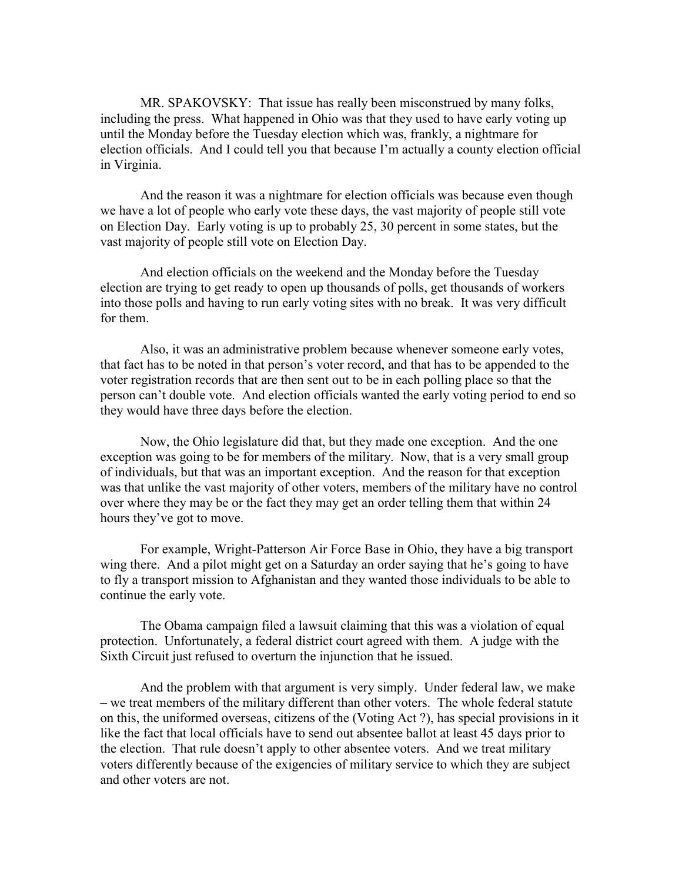MR. SPAKOVSKY: That issue has really been misconstrued by many folks, including the press. What happened in Ohio was that they used to have early voting up until the Monday before the Tuesday election which was, frankly, a nightmare for election officials. And I could tell you that because I'm actually a county election official in Virginia.

And the reason it was a nightmare for election officials was because even though we have a lot of people who early vote these days, the vast majority of people still vote on Election Day. Early voting is up to probably 25, 30 percent in some states, but the vast majority of people still vote on Election Day.

And election officials on the weekend and the Monday before the Tuesday election are trying to get ready to open up thousands of polls, get thousands of workers into those polls and having to run early voting sites with no break. It was very difficult for them.

Also, it was an administrative problem because whenever someone early votes, that fact has to be noted in that person's voter record, and that has to be appended to the voter registration records that are then sent out to be in each polling place so that the person can't double vote. And election officials wanted the early voting period to end so they would have three days before the election.

Now, the Ohio legislature did that, but they made one exception. And the one exception was going to be for members of the military. Now, that is a very small group of individuals, but that was an important exception. And the reason for that exception was that unlike the vast majority of other voters, members of the military have no control over where they may be or the fact they may get an order telling them that within 24 hours they've got to move.

For example, Wright-Patterson Air Force Base in Ohio, they have a big transport wing there. And a pilot might get on a Saturday an order saying that he's going to have to fly a transport mission to Afghanistan and they wanted those individuals to be able to continue the early vote.

The Obama campaign filed a lawsuit claiming that this was a violation of equal protection. Unfortunately, a federal district court agreed with them. A judge with the Sixth Circuit just refused to overturn the injunction that he issued.

And the problem with that argument is very simply. Under federal law, we make – we treat members of the military different than other voters. The whole federal statute on this, the uniformed overseas, citizens of the (Voting Act ?), has special provisions in it like the fact that local officials have to send out absentee ballot at least 45 days prior to the election. That rule doesn't apply to other absentee voters. And we treat military voters differently because of the exigencies of military service to which they are subject and other voters are not.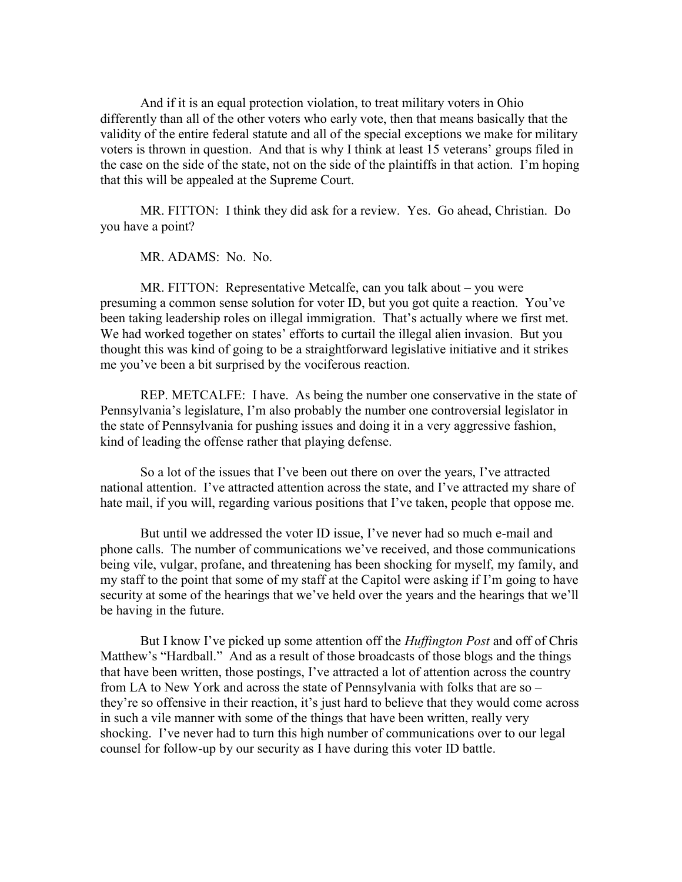And if it is an equal protection violation, to treat military voters in Ohio differently than all of the other voters who early vote, then that means basically that the validity of the entire federal statute and all of the special exceptions we make for military voters is thrown in question. And that is why I think at least 15 veterans' groups filed in the case on the side of the state, not on the side of the plaintiffs in that action. I'm hoping that this will be appealed at the Supreme Court.

MR. FITTON: I think they did ask for a review. Yes. Go ahead, Christian. Do you have a point?

MR. ADAMS: No. No.

MR. FITTON: Representative Metcalfe, can you talk about – you were presuming a common sense solution for voter ID, but you got quite a reaction. You've been taking leadership roles on illegal immigration. That's actually where we first met. We had worked together on states' efforts to curtail the illegal alien invasion. But you thought this was kind of going to be a straightforward legislative initiative and it strikes me you've been a bit surprised by the vociferous reaction.

REP. METCALFE: I have. As being the number one conservative in the state of Pennsylvania's legislature, I'm also probably the number one controversial legislator in the state of Pennsylvania for pushing issues and doing it in a very aggressive fashion, kind of leading the offense rather that playing defense.

So a lot of the issues that I've been out there on over the years, I've attracted national attention. I've attracted attention across the state, and I've attracted my share of hate mail, if you will, regarding various positions that I've taken, people that oppose me.

But until we addressed the voter ID issue, I've never had so much e-mail and phone calls. The number of communications we've received, and those communications being vile, vulgar, profane, and threatening has been shocking for myself, my family, and my staff to the point that some of my staff at the Capitol were asking if I'm going to have security at some of the hearings that we've held over the years and the hearings that we'll be having in the future.

But I know I've picked up some attention off the *Huffington Post* and off of Chris Matthew's "Hardball." And as a result of those broadcasts of those blogs and the things that have been written, those postings, I've attracted a lot of attention across the country from LA to New York and across the state of Pennsylvania with folks that are so – they're so offensive in their reaction, it's just hard to believe that they would come across in such a vile manner with some of the things that have been written, really very shocking. I've never had to turn this high number of communications over to our legal counsel for follow-up by our security as I have during this voter ID battle.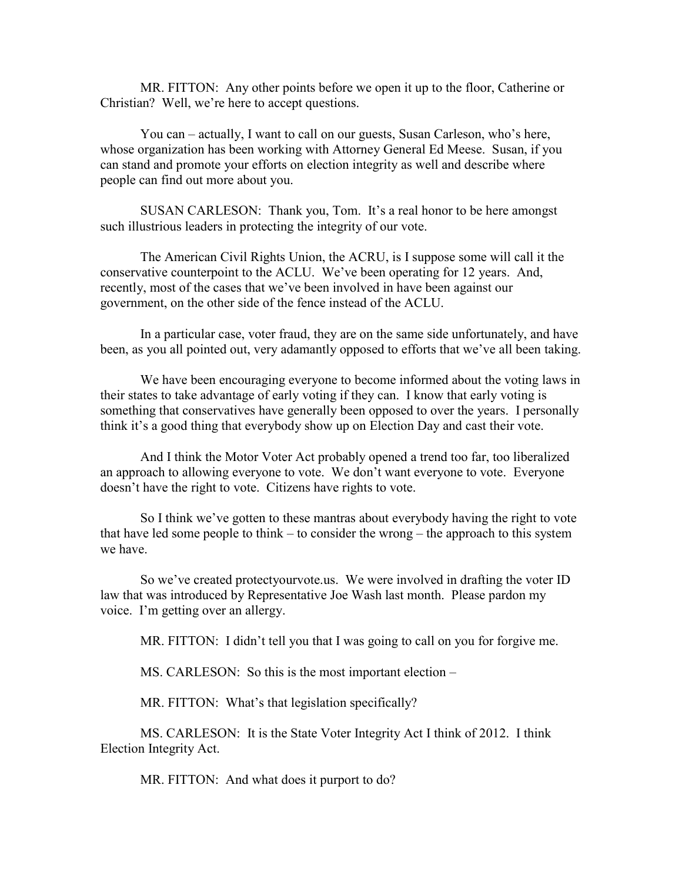MR. FITTON: Any other points before we open it up to the floor, Catherine or Christian? Well, we're here to accept questions.

You can – actually, I want to call on our guests, Susan Carleson, who's here, whose organization has been working with Attorney General Ed Meese. Susan, if you can stand and promote your efforts on election integrity as well and describe where people can find out more about you.

SUSAN CARLESON: Thank you, Tom. It's a real honor to be here amongst such illustrious leaders in protecting the integrity of our vote.

The American Civil Rights Union, the ACRU, is I suppose some will call it the conservative counterpoint to the ACLU. We've been operating for 12 years. And, recently, most of the cases that we've been involved in have been against our government, on the other side of the fence instead of the ACLU.

In a particular case, voter fraud, they are on the same side unfortunately, and have been, as you all pointed out, very adamantly opposed to efforts that we've all been taking.

We have been encouraging everyone to become informed about the voting laws in their states to take advantage of early voting if they can. I know that early voting is something that conservatives have generally been opposed to over the years. I personally think it's a good thing that everybody show up on Election Day and cast their vote.

And I think the Motor Voter Act probably opened a trend too far, too liberalized an approach to allowing everyone to vote. We don't want everyone to vote. Everyone doesn't have the right to vote. Citizens have rights to vote.

So I think we've gotten to these mantras about everybody having the right to vote that have led some people to think – to consider the wrong – the approach to this system we have.

So we've created protectyourvote.us. We were involved in drafting the voter ID law that was introduced by Representative Joe Wash last month. Please pardon my voice. I'm getting over an allergy.

MR. FITTON: I didn't tell you that I was going to call on you for forgive me.

MS. CARLESON: So this is the most important election –

MR. FITTON: What's that legislation specifically?

MS. CARLESON: It is the State Voter Integrity Act I think of 2012. I think Election Integrity Act.

MR. FITTON: And what does it purport to do?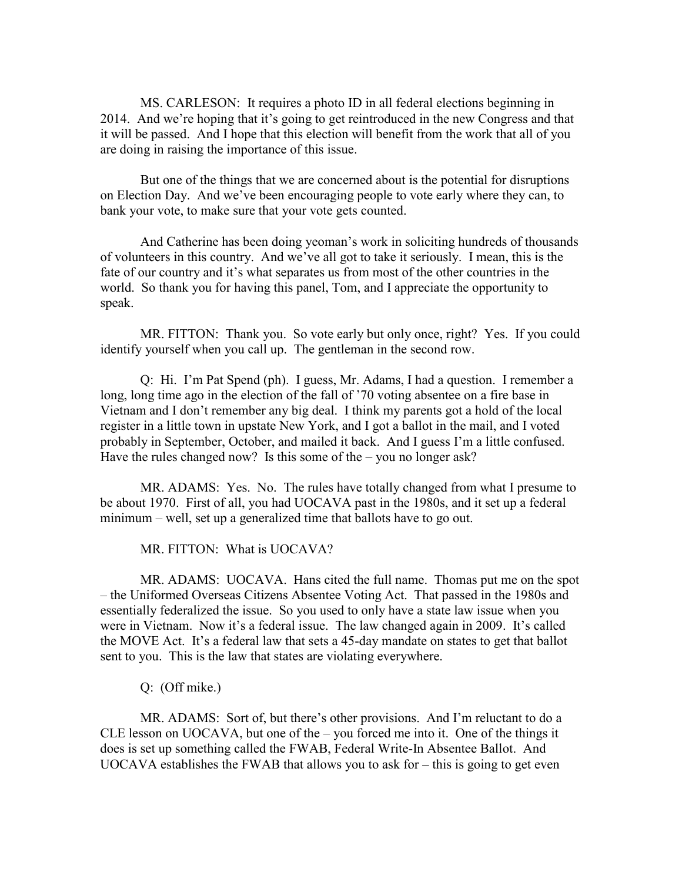MS. CARLESON: It requires a photo ID in all federal elections beginning in 2014. And we're hoping that it's going to get reintroduced in the new Congress and that it will be passed. And I hope that this election will benefit from the work that all of you are doing in raising the importance of this issue.

But one of the things that we are concerned about is the potential for disruptions on Election Day. And we've been encouraging people to vote early where they can, to bank your vote, to make sure that your vote gets counted.

And Catherine has been doing yeoman's work in soliciting hundreds of thousands of volunteers in this country. And we've all got to take it seriously. I mean, this is the fate of our country and it's what separates us from most of the other countries in the world. So thank you for having this panel, Tom, and I appreciate the opportunity to speak.

MR. FITTON: Thank you. So vote early but only once, right? Yes. If you could identify yourself when you call up. The gentleman in the second row.

Q: Hi. I'm Pat Spend (ph). I guess, Mr. Adams, I had a question. I remember a long, long time ago in the election of the fall of '70 voting absentee on a fire base in Vietnam and I don't remember any big deal. I think my parents got a hold of the local register in a little town in upstate New York, and I got a ballot in the mail, and I voted probably in September, October, and mailed it back. And I guess I'm a little confused. Have the rules changed now? Is this some of the  $-$  you no longer ask?

MR. ADAMS: Yes. No. The rules have totally changed from what I presume to be about 1970. First of all, you had UOCAVA past in the 1980s, and it set up a federal minimum – well, set up a generalized time that ballots have to go out.

MR. FITTON: What is UOCAVA?

MR. ADAMS: UOCAVA. Hans cited the full name. Thomas put me on the spot – the Uniformed Overseas Citizens Absentee Voting Act. That passed in the 1980s and essentially federalized the issue. So you used to only have a state law issue when you were in Vietnam. Now it's a federal issue. The law changed again in 2009. It's called the MOVE Act. It's a federal law that sets a 45-day mandate on states to get that ballot sent to you. This is the law that states are violating everywhere.

Q: (Off mike.)

MR. ADAMS: Sort of, but there's other provisions. And I'm reluctant to do a CLE lesson on UOCAVA, but one of the – you forced me into it. One of the things it does is set up something called the FWAB, Federal Write-In Absentee Ballot. And UOCAVA establishes the FWAB that allows you to ask for – this is going to get even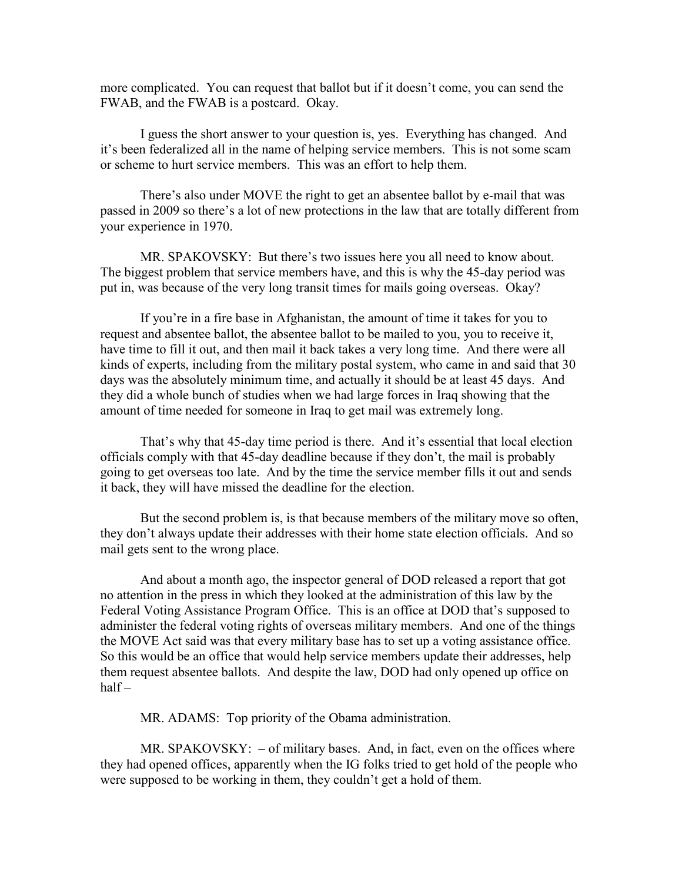more complicated. You can request that ballot but if it doesn't come, you can send the FWAB, and the FWAB is a postcard. Okay.

I guess the short answer to your question is, yes. Everything has changed. And it's been federalized all in the name of helping service members. This is not some scam or scheme to hurt service members. This was an effort to help them.

There's also under MOVE the right to get an absentee ballot by e-mail that was passed in 2009 so there's a lot of new protections in the law that are totally different from your experience in 1970.

MR. SPAKOVSKY: But there's two issues here you all need to know about. The biggest problem that service members have, and this is why the 45-day period was put in, was because of the very long transit times for mails going overseas. Okay?

If you're in a fire base in Afghanistan, the amount of time it takes for you to request and absentee ballot, the absentee ballot to be mailed to you, you to receive it, have time to fill it out, and then mail it back takes a very long time. And there were all kinds of experts, including from the military postal system, who came in and said that 30 days was the absolutely minimum time, and actually it should be at least 45 days. And they did a whole bunch of studies when we had large forces in Iraq showing that the amount of time needed for someone in Iraq to get mail was extremely long.

That's why that 45-day time period is there. And it's essential that local election officials comply with that 45-day deadline because if they don't, the mail is probably going to get overseas too late. And by the time the service member fills it out and sends it back, they will have missed the deadline for the election.

But the second problem is, is that because members of the military move so often, they don't always update their addresses with their home state election officials. And so mail gets sent to the wrong place.

And about a month ago, the inspector general of DOD released a report that got no attention in the press in which they looked at the administration of this law by the Federal Voting Assistance Program Office. This is an office at DOD that's supposed to administer the federal voting rights of overseas military members. And one of the things the MOVE Act said was that every military base has to set up a voting assistance office. So this would be an office that would help service members update their addresses, help them request absentee ballots. And despite the law, DOD had only opened up office on half –

MR. ADAMS: Top priority of the Obama administration.

MR. SPAKOVSKY: – of military bases. And, in fact, even on the offices where they had opened offices, apparently when the IG folks tried to get hold of the people who were supposed to be working in them, they couldn't get a hold of them.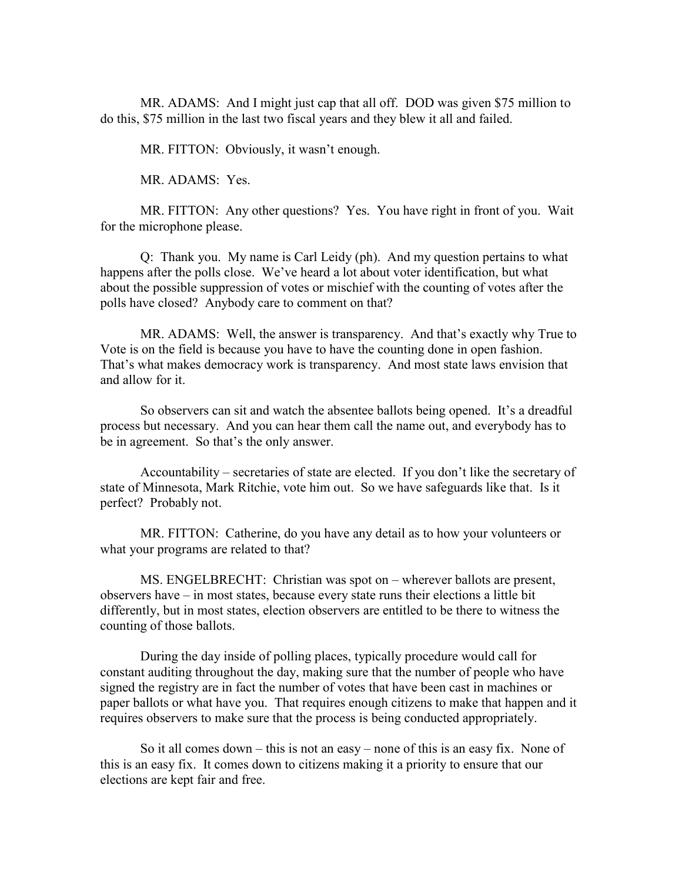MR. ADAMS: And I might just cap that all off. DOD was given \$75 million to do this, \$75 million in the last two fiscal years and they blew it all and failed.

MR. FITTON: Obviously, it wasn't enough.

MR. ADAMS: Yes.

MR. FITTON: Any other questions? Yes. You have right in front of you. Wait for the microphone please.

Q: Thank you. My name is Carl Leidy (ph). And my question pertains to what happens after the polls close. We've heard a lot about voter identification, but what about the possible suppression of votes or mischief with the counting of votes after the polls have closed? Anybody care to comment on that?

MR. ADAMS: Well, the answer is transparency. And that's exactly why True to Vote is on the field is because you have to have the counting done in open fashion. That's what makes democracy work is transparency. And most state laws envision that and allow for it.

So observers can sit and watch the absentee ballots being opened. It's a dreadful process but necessary. And you can hear them call the name out, and everybody has to be in agreement. So that's the only answer.

Accountability – secretaries of state are elected. If you don't like the secretary of state of Minnesota, Mark Ritchie, vote him out. So we have safeguards like that. Is it perfect? Probably not.

MR. FITTON: Catherine, do you have any detail as to how your volunteers or what your programs are related to that?

MS. ENGELBRECHT: Christian was spot on – wherever ballots are present, observers have – in most states, because every state runs their elections a little bit differently, but in most states, election observers are entitled to be there to witness the counting of those ballots.

During the day inside of polling places, typically procedure would call for constant auditing throughout the day, making sure that the number of people who have signed the registry are in fact the number of votes that have been cast in machines or paper ballots or what have you. That requires enough citizens to make that happen and it requires observers to make sure that the process is being conducted appropriately.

So it all comes down – this is not an easy – none of this is an easy fix. None of this is an easy fix. It comes down to citizens making it a priority to ensure that our elections are kept fair and free.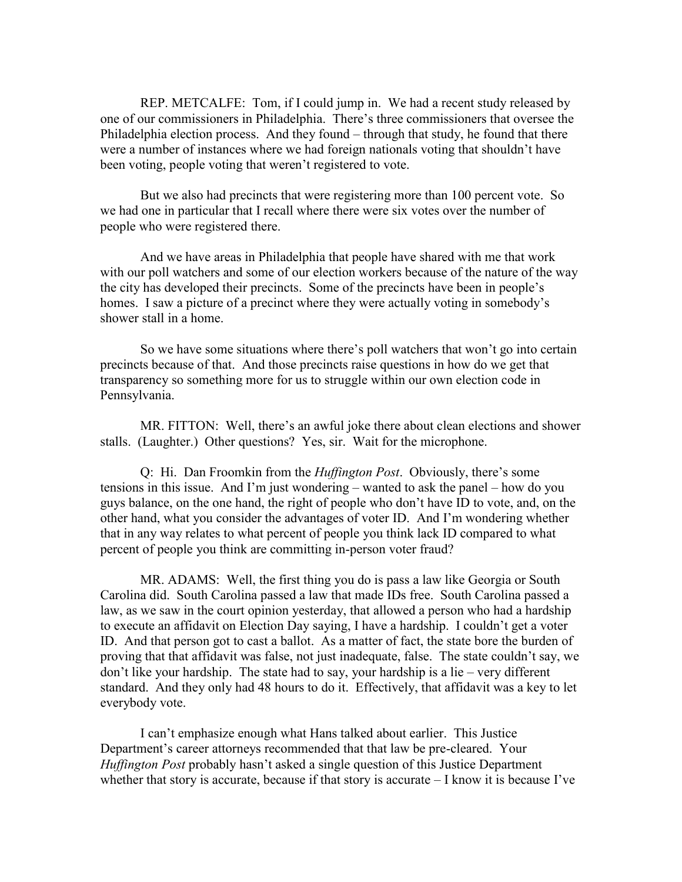REP. METCALFE: Tom, if I could jump in. We had a recent study released by one of our commissioners in Philadelphia. There's three commissioners that oversee the Philadelphia election process. And they found – through that study, he found that there were a number of instances where we had foreign nationals voting that shouldn't have been voting, people voting that weren't registered to vote.

But we also had precincts that were registering more than 100 percent vote. So we had one in particular that I recall where there were six votes over the number of people who were registered there.

And we have areas in Philadelphia that people have shared with me that work with our poll watchers and some of our election workers because of the nature of the way the city has developed their precincts. Some of the precincts have been in people's homes. I saw a picture of a precinct where they were actually voting in somebody's shower stall in a home.

So we have some situations where there's poll watchers that won't go into certain precincts because of that. And those precincts raise questions in how do we get that transparency so something more for us to struggle within our own election code in Pennsylvania.

MR. FITTON: Well, there's an awful joke there about clean elections and shower stalls. (Laughter.) Other questions? Yes, sir. Wait for the microphone.

Q: Hi. Dan Froomkin from the *Huffington Post*. Obviously, there's some tensions in this issue. And I'm just wondering – wanted to ask the panel – how do you guys balance, on the one hand, the right of people who don't have ID to vote, and, on the other hand, what you consider the advantages of voter ID. And I'm wondering whether that in any way relates to what percent of people you think lack ID compared to what percent of people you think are committing in-person voter fraud?

MR. ADAMS: Well, the first thing you do is pass a law like Georgia or South Carolina did. South Carolina passed a law that made IDs free. South Carolina passed a law, as we saw in the court opinion yesterday, that allowed a person who had a hardship to execute an affidavit on Election Day saying, I have a hardship. I couldn't get a voter ID. And that person got to cast a ballot. As a matter of fact, the state bore the burden of proving that that affidavit was false, not just inadequate, false. The state couldn't say, we don't like your hardship. The state had to say, your hardship is a lie – very different standard. And they only had 48 hours to do it. Effectively, that affidavit was a key to let everybody vote.

I can't emphasize enough what Hans talked about earlier. This Justice Department's career attorneys recommended that that law be pre-cleared. Your *Huffington Post* probably hasn't asked a single question of this Justice Department whether that story is accurate, because if that story is accurate  $-1$  know it is because I've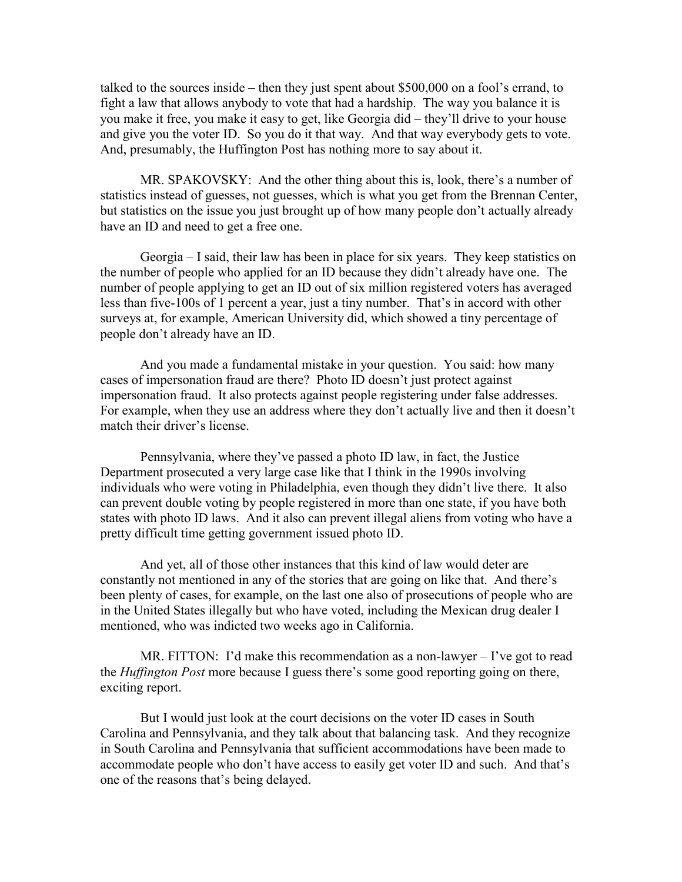talked to the sources inside – then they just spent about \$500,000 on a fool's errand, to fight a law that allows anybody to vote that had a hardship. The way you balance it is you make it free, you make it easy to get, like Georgia did – they'll drive to your house and give you the voter ID. So you do it that way. And that way everybody gets to vote. And, presumably, the Huffington Post has nothing more to say about it.

MR. SPAKOVSKY: And the other thing about this is, look, there's a number of statistics instead of guesses, not guesses, which is what you get from the Brennan Center, but statistics on the issue you just brought up of how many people don't actually already have an ID and need to get a free one.

Georgia – I said, their law has been in place for six years. They keep statistics on the number of people who applied for an ID because they didn't already have one. The number of people applying to get an ID out of six million registered voters has averaged less than five-100s of 1 percent a year, just a tiny number. That's in accord with other surveys at, for example, American University did, which showed a tiny percentage of people don't already have an ID.

And you made a fundamental mistake in your question. You said: how many cases of impersonation fraud are there? Photo ID doesn't just protect against impersonation fraud. It also protects against people registering under false addresses. For example, when they use an address where they don't actually live and then it doesn't match their driver's license.

Pennsylvania, where they've passed a photo ID law, in fact, the Justice Department prosecuted a very large case like that I think in the 1990s involving individuals who were voting in Philadelphia, even though they didn't live there. It also can prevent double voting by people registered in more than one state, if you have both states with photo ID laws. And it also can prevent illegal aliens from voting who have a pretty difficult time getting government issued photo ID.

And yet, all of those other instances that this kind of law would deter are constantly not mentioned in any of the stories that are going on like that. And there's been plenty of cases, for example, on the last one also of prosecutions of people who are in the United States illegally but who have voted, including the Mexican drug dealer I mentioned, who was indicted two weeks ago in California.

MR. FITTON: I'd make this recommendation as a non-lawyer  $-I$ 've got to read the *Huffington Post* more because I guess there's some good reporting going on there, exciting report.

But I would just look at the court decisions on the voter ID cases in South Carolina and Pennsylvania, and they talk about that balancing task. And they recognize in South Carolina and Pennsylvania that sufficient accommodations have been made to accommodate people who don't have access to easily get voter ID and such. And that's one of the reasons that's being delayed.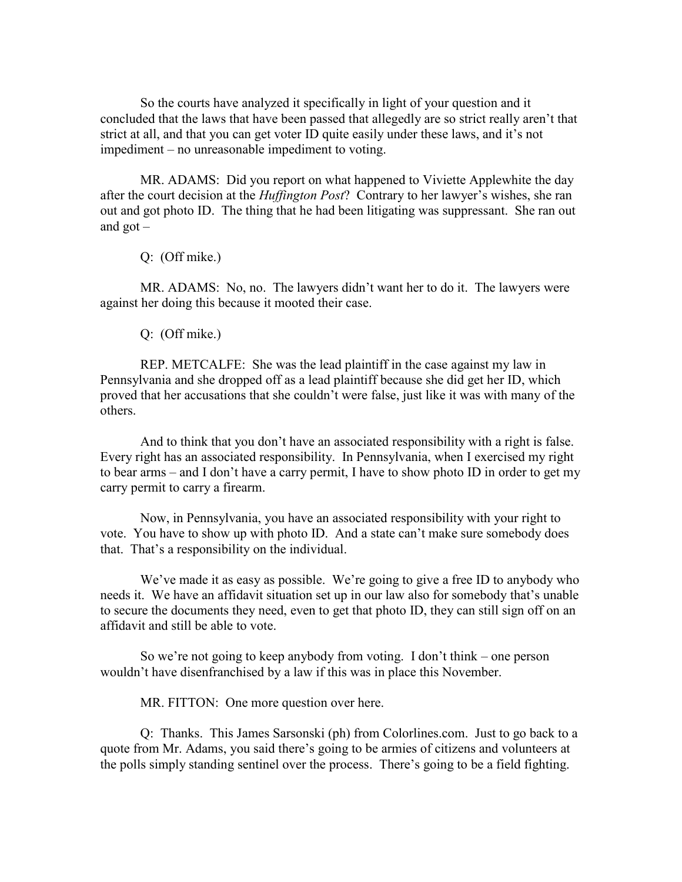So the courts have analyzed it specifically in light of your question and it concluded that the laws that have been passed that allegedly are so strict really aren't that strict at all, and that you can get voter ID quite easily under these laws, and it's not impediment – no unreasonable impediment to voting.

MR. ADAMS: Did you report on what happened to Viviette Applewhite the day after the court decision at the *Huffington Post*? Contrary to her lawyer's wishes, she ran out and got photo ID. The thing that he had been litigating was suppressant. She ran out and got –

Q: (Off mike.)

MR. ADAMS: No, no. The lawyers didn't want her to do it. The lawyers were against her doing this because it mooted their case.

Q: (Off mike.)

REP. METCALFE: She was the lead plaintiff in the case against my law in Pennsylvania and she dropped off as a lead plaintiff because she did get her ID, which proved that her accusations that she couldn't were false, just like it was with many of the others.

And to think that you don't have an associated responsibility with a right is false. Every right has an associated responsibility. In Pennsylvania, when I exercised my right to bear arms – and I don't have a carry permit, I have to show photo ID in order to get my carry permit to carry a firearm.

Now, in Pennsylvania, you have an associated responsibility with your right to vote. You have to show up with photo ID. And a state can't make sure somebody does that. That's a responsibility on the individual.

We've made it as easy as possible. We're going to give a free ID to anybody who needs it. We have an affidavit situation set up in our law also for somebody that's unable to secure the documents they need, even to get that photo ID, they can still sign off on an affidavit and still be able to vote.

So we're not going to keep anybody from voting. I don't think – one person wouldn't have disenfranchised by a law if this was in place this November.

MR. FITTON: One more question over here.

Q: Thanks. This James Sarsonski (ph) from Colorlines.com. Just to go back to a quote from Mr. Adams, you said there's going to be armies of citizens and volunteers at the polls simply standing sentinel over the process. There's going to be a field fighting.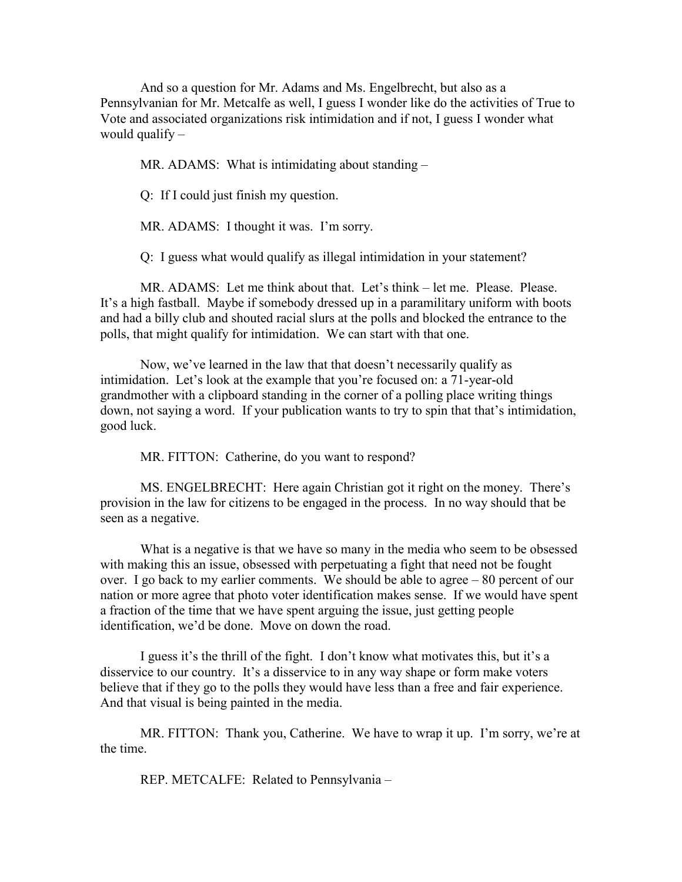And so a question for Mr. Adams and Ms. Engelbrecht, but also as a Pennsylvanian for Mr. Metcalfe as well, I guess I wonder like do the activities of True to Vote and associated organizations risk intimidation and if not, I guess I wonder what would qualify –

MR. ADAMS: What is intimidating about standing –

Q: If I could just finish my question.

MR. ADAMS: I thought it was. I'm sorry.

Q: I guess what would qualify as illegal intimidation in your statement?

MR. ADAMS: Let me think about that. Let's think – let me. Please. Please. It's a high fastball. Maybe if somebody dressed up in a paramilitary uniform with boots and had a billy club and shouted racial slurs at the polls and blocked the entrance to the polls, that might qualify for intimidation. We can start with that one.

Now, we've learned in the law that that doesn't necessarily qualify as intimidation. Let's look at the example that you're focused on: a 71-year-old grandmother with a clipboard standing in the corner of a polling place writing things down, not saying a word. If your publication wants to try to spin that that's intimidation, good luck.

MR. FITTON: Catherine, do you want to respond?

MS. ENGELBRECHT: Here again Christian got it right on the money. There's provision in the law for citizens to be engaged in the process. In no way should that be seen as a negative.

What is a negative is that we have so many in the media who seem to be obsessed with making this an issue, obsessed with perpetuating a fight that need not be fought over. I go back to my earlier comments. We should be able to agree – 80 percent of our nation or more agree that photo voter identification makes sense. If we would have spent a fraction of the time that we have spent arguing the issue, just getting people identification, we'd be done. Move on down the road.

I guess it's the thrill of the fight. I don't know what motivates this, but it's a disservice to our country. It's a disservice to in any way shape or form make voters believe that if they go to the polls they would have less than a free and fair experience. And that visual is being painted in the media.

MR. FITTON: Thank you, Catherine. We have to wrap it up. I'm sorry, we're at the time.

REP. METCALFE: Related to Pennsylvania –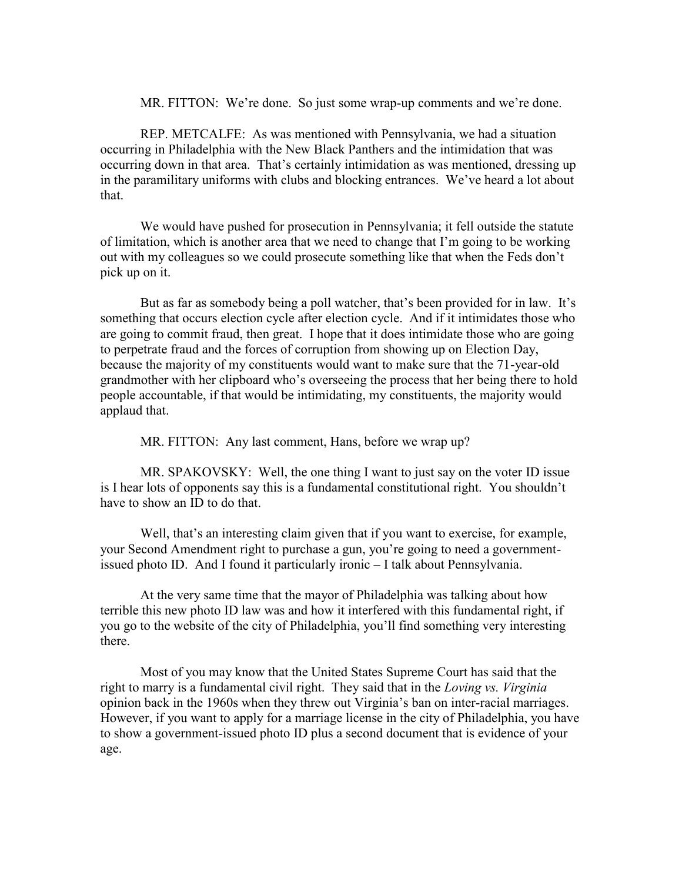MR. FITTON: We're done. So just some wrap-up comments and we're done.

REP. METCALFE: As was mentioned with Pennsylvania, we had a situation occurring in Philadelphia with the New Black Panthers and the intimidation that was occurring down in that area. That's certainly intimidation as was mentioned, dressing up in the paramilitary uniforms with clubs and blocking entrances. We've heard a lot about that.

We would have pushed for prosecution in Pennsylvania; it fell outside the statute of limitation, which is another area that we need to change that I'm going to be working out with my colleagues so we could prosecute something like that when the Feds don't pick up on it.

But as far as somebody being a poll watcher, that's been provided for in law. It's something that occurs election cycle after election cycle. And if it intimidates those who are going to commit fraud, then great. I hope that it does intimidate those who are going to perpetrate fraud and the forces of corruption from showing up on Election Day, because the majority of my constituents would want to make sure that the 71-year-old grandmother with her clipboard who's overseeing the process that her being there to hold people accountable, if that would be intimidating, my constituents, the majority would applaud that.

MR. FITTON: Any last comment, Hans, before we wrap up?

MR. SPAKOVSKY: Well, the one thing I want to just say on the voter ID issue is I hear lots of opponents say this is a fundamental constitutional right. You shouldn't have to show an ID to do that.

Well, that's an interesting claim given that if you want to exercise, for example, your Second Amendment right to purchase a gun, you're going to need a governmentissued photo ID. And I found it particularly ironic – I talk about Pennsylvania.

At the very same time that the mayor of Philadelphia was talking about how terrible this new photo ID law was and how it interfered with this fundamental right, if you go to the website of the city of Philadelphia, you'll find something very interesting there.

Most of you may know that the United States Supreme Court has said that the right to marry is a fundamental civil right. They said that in the *Loving vs. Virginia* opinion back in the 1960s when they threw out Virginia's ban on inter-racial marriages. However, if you want to apply for a marriage license in the city of Philadelphia, you have to show a government-issued photo ID plus a second document that is evidence of your age.